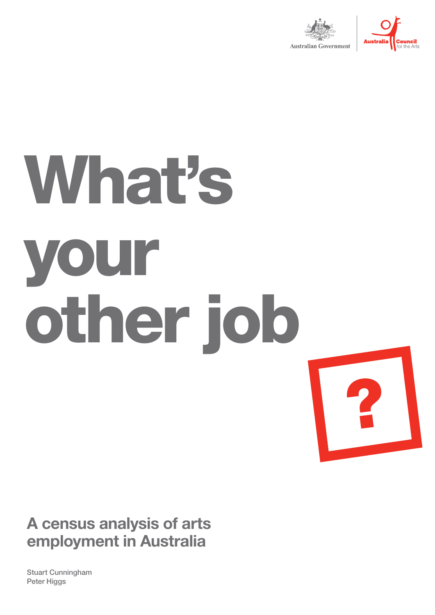



?

# What's your other job

## **A census analysis of arts employment in Australia**

Stuart Cunningham Peter Higgs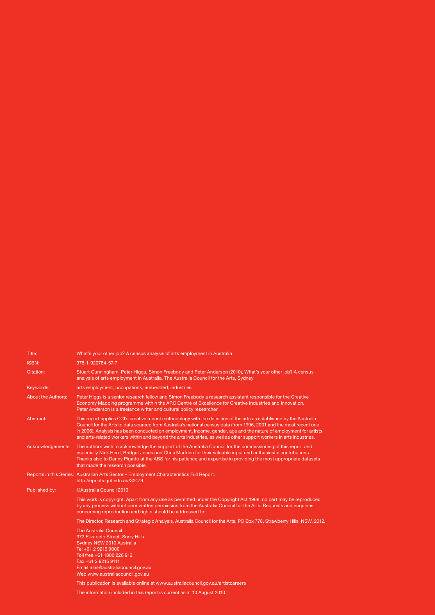| Title:                    | What's your other job? A census analysis of arts employment in Australia                                                                                                                                                                                                                                                                                                                                                                                                                   |
|---------------------------|--------------------------------------------------------------------------------------------------------------------------------------------------------------------------------------------------------------------------------------------------------------------------------------------------------------------------------------------------------------------------------------------------------------------------------------------------------------------------------------------|
| <b>ISBN:</b>              | 978-1-920784-57-7                                                                                                                                                                                                                                                                                                                                                                                                                                                                          |
| Citation:                 | Stuart Cunningham, Peter Higgs, Simon Freebody and Peter Anderson (2010), What's your other job? A census<br>analysis of arts employment in Australia, The Australia Council for the Arts, Sydney                                                                                                                                                                                                                                                                                          |
| Keywords:                 | arts employment, occupations, embedded, industries                                                                                                                                                                                                                                                                                                                                                                                                                                         |
| <b>About the Authors:</b> | Peter Higgs is a senior research fellow and Simon Freebody a research assistant responsible for the Creative<br>Economy Mapping programme within the ARC Centre of Excellence for Creative Industries and Innovation.<br>Peter Anderson is a freelance writer and cultural policy researcher.                                                                                                                                                                                              |
| Abstract:                 | This report applies CCI's creative trident methodology with the definition of the arts as established by the Australia<br>Council for the Arts to data sourced from Australia's national census data (from 1996, 2001 and the most recent one<br>in 2006). Analysis has been conducted on employment, income, gender, age and the nature of employment for artists<br>and arts-related workers within and beyond the arts industries, as well as other support workers in arts industries. |
| Acknowledgements:         | The authors wish to acknowledge the support of the Australia Council for the commissioning of this report and<br>especially Nick Herd, Bridget Jones and Chris Madden for their valuable input and enthusiastic contributions.<br>Thanks also to Danny Pigatto at the ABS for his patience and expertise in providing the most appropriate datasets<br>that made the research possible.                                                                                                    |
|                           | Reports in this Series: Australian Arts Sector – Employment Characteristics Full Report.<br>http://eprints.qut.edu.au/32479                                                                                                                                                                                                                                                                                                                                                                |
| Published by:             | ©Australia Council 2010                                                                                                                                                                                                                                                                                                                                                                                                                                                                    |
|                           | This work is copyright. Apart from any use as permitted under the Copyright Act 1968, no part may be reproduced<br>by any process without prior written permission from the Australia Council for the Arts. Requests and enquiries<br>concerning reproduction and rights should be addressed to:                                                                                                                                                                                           |
|                           | The Director, Research and Strategic Analysis, Australia Council for the Arts, PO Box 778, Strawberry Hills, NSW, 2012.                                                                                                                                                                                                                                                                                                                                                                    |
|                           | <b>The Australia Council</b><br>372 Elizabeth Street, Surry Hills<br>Sydney NSW 2010 Australia<br>Tel +61 2 9215 9000<br>Toll free +61 1800 226 912<br>Fax +61 2 9215 9111<br>Email mail@australiacouncil.gov.au<br>Web www.australiacouncil.gov.au                                                                                                                                                                                                                                        |
|                           | This publication is available online at www.australiacouncil.gov.au/artistcareers                                                                                                                                                                                                                                                                                                                                                                                                          |

The information included in this report is current as at 10 August 2010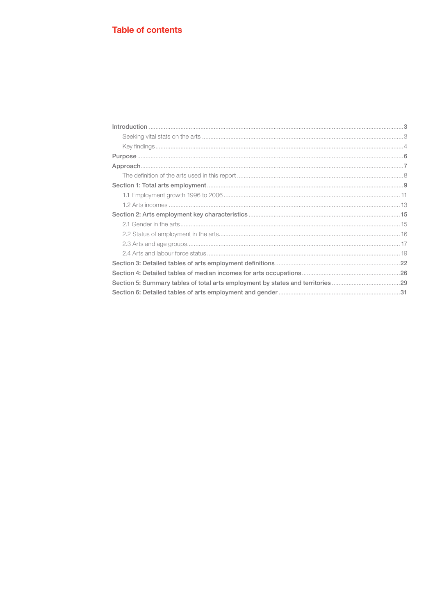#### **Table of contents**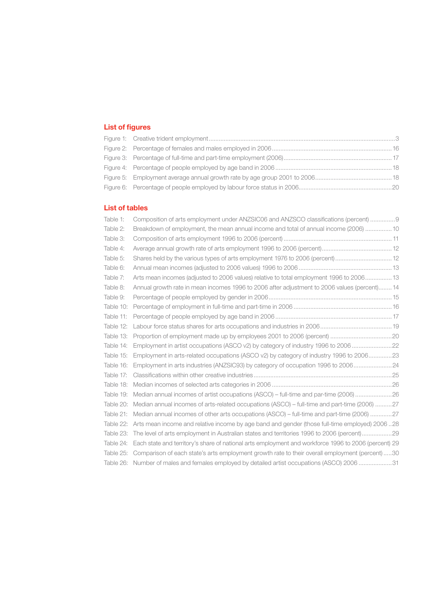#### **List of figures**

#### **List of tables**

| Table 1:  | Composition of arts employment under ANZSIC06 and ANZSCO classifications (percent) 9                 |  |
|-----------|------------------------------------------------------------------------------------------------------|--|
| Table 2:  | Breakdown of employment, the mean annual income and total of annual income (2006)  10                |  |
| Table 3:  |                                                                                                      |  |
| Table 4:  |                                                                                                      |  |
| Table 5:  | Shares held by the various types of arts employment 1976 to 2006 (percent) 12                        |  |
| Table 6:  |                                                                                                      |  |
| Table 7:  | Arts mean incomes (adjusted to 2006 values) relative to total employment 1996 to 2006 13             |  |
| Table 8:  | Annual growth rate in mean incomes 1996 to 2006 after adjustment to 2006 values (percent) 14         |  |
| Table 9:  |                                                                                                      |  |
| Table 10: |                                                                                                      |  |
| Table 11: |                                                                                                      |  |
| Table 12: |                                                                                                      |  |
| Table 13: |                                                                                                      |  |
| Table 14: | Employment in artist occupations (ASCO v2) by category of industry 1996 to 2006 22                   |  |
| Table 15: | Employment in arts-related occupations (ASCO v2) by category of industry 1996 to 200623              |  |
| Table 16: | Employment in arts industries (ANZSIC93) by category of occupation 1996 to 2006                      |  |
| Table 17: |                                                                                                      |  |
| Table 18: |                                                                                                      |  |
| Table 19: | Median annual incomes of artist occupations (ASCO) - full-time and par-time (2006) 26                |  |
| Table 20: | Median annual incomes of arts-related occupations (ASCO) - full-time and part-time (2006) 27         |  |
| Table 21: | Median annual incomes of other arts occupations (ASCO) – full-time and part-time (2006) 27           |  |
| Table 22: | 28. Arts mean income and relative income by age band and gender (those full-time employed) 2006.     |  |
| Table 23: |                                                                                                      |  |
| Table 24: | Each state and territory's share of national arts employment and workforce 1996 to 2006 (percent) 29 |  |
| Table 25: | Comparison of each state's arts employment growth rate to their overall employment (percent)30       |  |
|           | Table 26: Number of males and females employed by detailed artist occupations (ASCO) 2006 31         |  |
|           |                                                                                                      |  |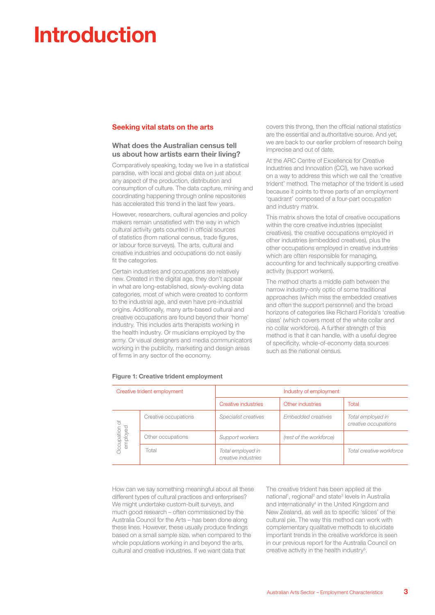## **Introduction**

#### **Seeking vital stats on the arts**

#### **What does the Australian census tell us about how artists earn their living?**

Comparatively speaking, today we live in a statistical paradise, with local and global data on just about any aspect of the production, distribution and consumption of culture. The data capture, mining and coordinating happening through online repositories has accelerated this trend in the last few years.

However, researchers, cultural agencies and policy makers remain unsatisfied with the way in which cultural activity gets counted in official sources of statistics (from national census, trade figures, or labour force surveys). The arts, cultural and creative industries and occupations do not easily fit the categories.

Certain industries and occupations are relatively new. Created in the digital age, they don't appear in what are long-established, slowly-evolving data categories, most of which were created to conform to the industrial age, and even have pre-industrial origins. Additionally, many arts-based cultural and creative occupations are found beyond their 'home' industry. This includes arts therapists working in the health industry. Or musicians employed by the army. Or visual designers and media communicators working in the publicity, marketing and design areas of firms in any sector of the economy.

covers this throng, then the official national statistics are the essential and authoritative source. And yet, we are back to our earlier problem of research being imprecise and out of date.

At the ARC Centre of Excellence for Creative Industries and Innovation (CCI), we have worked on a way to address this which we call the 'creative trident' method. The metaphor of the trident is used because it points to three parts of an employment 'quadrant' composed of a four-part occupation and industry matrix.

This matrix shows the total of creative occupations within the core creative industries (specialist creatives), the creative occupations employed in other industries (embedded creatives), plus the other occupations employed in creative industries which are often responsible for managing, accounting for and technically supporting creative activity (support workers).

The method charts a middle path between the narrow industry-only optic of some traditional approaches (which miss the embedded creatives and often the support personnel) and the broad horizons of categories like Richard Florida's 'creative class' (which covers most of the white collar and no collar workforce). A further strength of this method is that it can handle, with a useful degree of specificity, whole-of-economy data sources such as the national census.

| Creative trident employment |                      | Industry of employment                   |                         |                                           |  |
|-----------------------------|----------------------|------------------------------------------|-------------------------|-------------------------------------------|--|
|                             |                      | Creative industries                      | Other industries        | Total                                     |  |
| $\sqrt{2}$<br>Occupation o  | Creative occupations | Specialist creatives                     | Embedded creatives      | Total employed in<br>creative occupations |  |
|                             | Other occupations    | Support workers                          | (rest of the workforce) |                                           |  |
|                             | Total                | Total employed in<br>creative industries |                         | Total creative workforce                  |  |

#### **Figure 1: Creative trident employment**

How can we say something meaningful about all these different types of cultural practices and enterprises? We might undertake custom-built surveys, and much good research – often commissioned by the Australia Council for the Arts – has been done along these lines. However, these usually produce findings based on a small sample size, when compared to the whole populations working in and beyond the arts, cultural and creative industries. If we want data that

The creative trident has been applied at the national<sup>1</sup>, regional<sup>2</sup> and state<sup>3</sup> levels in Australia and internationally<sup>4</sup> in the United Kingdom and New Zealand, as well as to specific 'slices' of the cultural pie. The way this method can work with complementary qualitative methods to elucidate important trends in the creative workforce is seen in our previous report for the Australia Council on creative activity in the health industry<sup>5</sup>.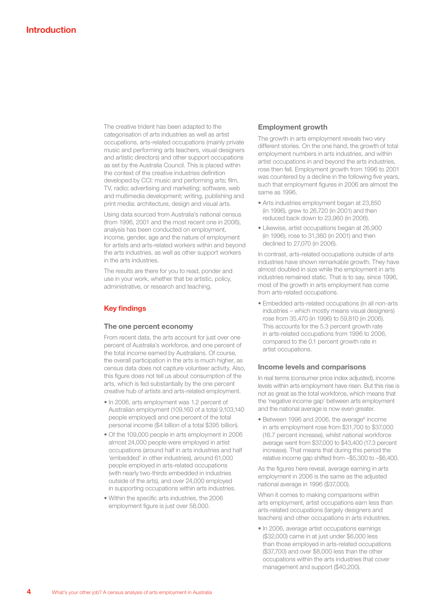The creative trident has been adapted to the categorisation of arts industries as well as artist occupations, arts-related occupations (mainly private music and performing arts teachers, visual designers and artistic directors) and other support occupations as set by the Australia Council. This is placed within the context of the creative industries definition developed by CCI: music and performing arts; film, TV, radio; advertising and marketing; software, web and multimedia development; writing, publishing and print media; architecture, design and visual arts.

Using data sourced from Australia's national census (from 1996, 2001 and the most recent one in 2006), analysis has been conducted on employment, income, gender, age and the nature of employment for artists and arts-related workers within and beyond the arts industries, as well as other support workers in the arts industries.

The results are there for you to read, ponder and use in your work, whether that be artistic, policy, administrative, or research and teaching.

#### **Key findings**

#### **The one percent economy**

From recent data, the arts account for just over one percent of Australia's workforce, and one percent of the total income earned by Australians. Of course, the overall participation in the arts is much higher, as census data does not capture volunteer activity. Also, this figure does not tell us about consumption of the arts, which is fed substantially by the one percent creative hub of artists and arts-related employment.

- In 2006, arts employment was 1.2 percent of Australian employment (109,160 of a total 9,103,140 people employed) and one percent of the total personal income (\$4 billion of a total \$395 billion).
- Of the 109,000 people in arts employment in 2006 almost 24,000 people were employed in artist occupations (around half in arts industries and half 'embedded' in other industries), around 61,000 people employed in arts-related occupations (with nearly two-thirds embedded in industries outside of the arts), and over 24,000 employed in supporting occupations within arts industries.
- Within the specific arts industries, the 2006 employment figure is just over 58,000.

#### **Employment growth**

The growth in arts employment reveals two very different stories. On the one hand, the growth of total employment numbers in arts industries, and within artist occupations in and beyond the arts industries, rose then fell. Employment growth from 1996 to 2001 was countered by a decline in the following five years, such that employment figures in 2006 are almost the same as 1996.

- Arts industries employment began at 23,850 (in 1996), grew to 26,720 (in 2001) and then reduced back down to 23,960 (in 2006).
- Likewise, artist occupations began at 26,900 (in 1996), rose to 31,360 (in 2001) and then declined to 27,070 (in 2006).

In contrast, arts-related occupations outside of arts industries have shown remarkable growth. They have almost doubled in size while the employment in arts industries remained static. That is to say, since 1996, most of the growth in arts employment has come from arts-related occupations.

• Embedded arts-related occupations (in all non-arts industries – which mostly means visual designers) rose from 35,470 (in 1996) to 59,810 (in 2006). This accounts for the 5.3 percent growth rate in arts-related occupations from 1996 to 2006, compared to the 0.1 percent growth rate in artist occupations.

#### **Income levels and comparisons**

In real terms (consumer price index adjusted), income levels within arts employment have risen. But this rise is not as great as the total workforce, which means that the 'negative income gap' between arts employment and the national average is now even greater.

 $\bullet$  Between 1996 and 2006, the average $\degree$  income in arts employment rose from \$31,700 to \$37,000 (16.7 percent increase), whilst national workforce average went from \$37,000 to \$43,400 (17.3 percent increase). That means that during this period the relative income gap shifted from –\$5,300 to –\$6,400.

As the figures here reveal, average earning in arts employment in 2006 is the same as the adjusted national average in 1996 (\$37,000).

When it comes to making comparisons within arts employment, artist occupations earn less than arts-related occupations (largely designers and teachers) and other occupations in arts industries.

• In 2006, average artist occupations earnings (\$32,000) came in at just under \$6,000 less than those employed in arts-related occupations (\$37,700) and over \$8,000 less than the other occupations within the arts industries that cover management and support (\$40,200).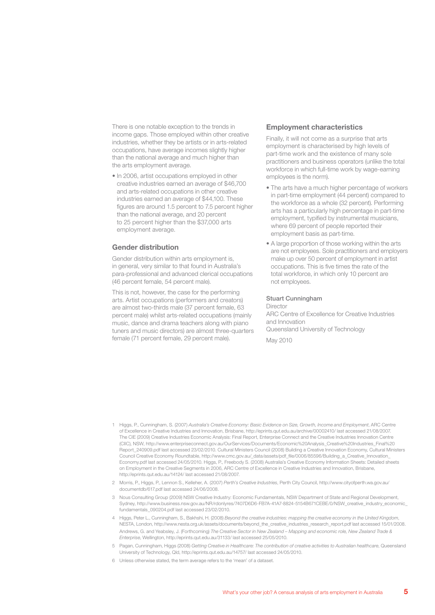There is one notable exception to the trends in income gaps. Those employed within other creative industries, whether they be artists or in arts-related occupations, have average incomes slightly higher than the national average and much higher than the arts employment average.

• In 2006, artist occupations employed in other creative industries earned an average of \$46,700 and arts-related occupations in other creative industries earned an average of \$44,100. These figures are around 1.5 percent to 7.5 percent higher than the national average, and 20 percent to 25 percent higher than the \$37,000 arts employment average.

#### **Gender distribution**

Gender distribution within arts employment is, in general, very similar to that found in Australia's para-professional and advanced clerical occupations (46 percent female, 54 percent male).

This is not, however, the case for the performing arts. Artist occupations (performers and creators) are almost two-thirds male (37 percent female, 63 percent male) whilst arts-related occupations (mainly music, dance and drama teachers along with piano tuners and music directors) are almost three-quarters female (71 percent female, 29 percent male).

#### **Employment characteristics**

Finally, it will not come as a surprise that arts employment is characterised by high levels of part-time work and the existence of many sole practitioners and business operators (unlike the total workforce in which full-time work by wage-earning employees is the norm).

- The arts have a much higher percentage of workers in part-time employment (44 percent) compared to the workforce as a whole (32 percent). Performing arts has a particularly high percentage in part-time employment, typified by instrumental musicians, where 69 percent of people reported their employment basis as part-time.
- A large proportion of those working within the arts are not employees. Sole practitioners and employers make up over 50 percent of employment in artist occupations. This is five times the rate of the total workforce, in which only 10 percent are not employees.

#### Stuart Cunningham

Director ARC Centre of Excellence for Creative Industries and Innovation Queensland University of Technology May 2010

- 1 Higgs, P., Cunningham, S. (2007) *Australia's Creative Economy: Basic Evidence on Size, Growth, Income and Employment*, ARC Centre of Excellence in Creative Industries and Innovation, Brisbane, http://eprints.qut.edu.au/archive/00002410/ last accessed 21/08/2007. The CIE (2009) Creative Industries Economic Analysis: Final Report, Enterprise Connect and the Creative Industries Innovation Centre (CIIC), NSW, http://www.enterpriseconnect.gov.au/OurServices/Documents/Economic%20Analysis\_Creative%20Industries\_Final%20 Report 240909.pdf last accessed 23/02/2010. Cultural Ministers Council (2008) Building a Creative Innovation Economy, Cultural Ministers Council Creative Economy Roundtable, http://www.cmc.gov.au/\_data/assets/pdf\_file/0006/85596/Building\_a\_Creative\_Innovation\_ Economy.pdf last accessed 24/05/2010. Higgs, P., Freebody S. (2008) Australia's Creative Economy Information Sheets: Detailed sheets on Employment in the Creative Segments in 2006, ARC Centre of Excellence in Creative Industries and Innovation, Brisbane, http://eprints.qut.edu.au/14124/ last accessed 21/08/2007.
- 2 Morris, P., Higgs, P., Lennon S., Kelleher, A. (2007) *Perth's Creative Industries*, Perth City Council, http://www.cityofperth.wa.gov.au/ documentdb/617.pdf last accessed 24/06/2008.
- 3 Nous Consulting Group (2009) NSW Creative Industry: Economic Fundamentals, NSW Department of State and Regional Development, Sydney, http://www.business.nsw.gov.au/NR/rdonlyres/7407D6D6-FB7A-41A7-8824-5154B671CEBE/0/NSW\_creative\_industry\_economic\_ fundamentals\_090204.pdf last accessed 23/02/2010.
- 4 Higgs, Peter L., Cunningham, S., Bakhshi, H. (2008) *Beyond the creative industries: mapping the creative economy in the United Kingdom*, NESTA, London, http://www.nesta.org.uk/assets/documents/beyond\_the\_creative\_industries\_research\_report.pdf last accessed 15/01/2008. Andrews, G. and Yeabsley, J. (Forthcoming) *The Creative Sector in New Zealand – Mapping and economic role, New Zealand Trade & Enterprise*, Wellington, http://eprints.qut.edu.au/31133/ last accessed 25/05/2010.
- 5 Pagan, Cunningham, Higgs (2008) *Getting Creative in Healthcare: The contribution of creative activities to Australian healthcare*, Queensland University of Technology, Qld, http://eprints.qut.edu.au/14757/ last accessed 24/05/2010.
- 6 Unless otherwise stated, the term average refers to the 'mean' of a dataset.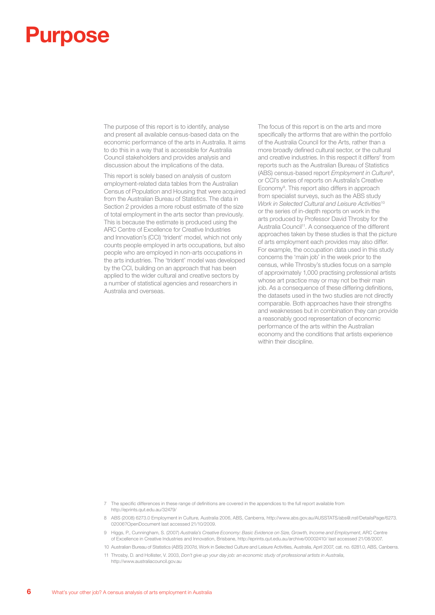## **Purpose**

The purpose of this report is to identify, analyse and present all available census-based data on the economic performance of the arts in Australia. It aims to do this in a way that is accessible for Australia Council stakeholders and provides analysis and discussion about the implications of the data.

This report is solely based on analysis of custom employment-related data tables from the Australian Census of Population and Housing that were acquired from the Australian Bureau of Statistics. The data in Section 2 provides a more robust estimate of the size of total employment in the arts sector than previously. This is because the estimate is produced using the ARC Centre of Excellence for Creative Industries and Innovation's (CCI) 'trident' model, which not only counts people employed in arts occupations, but also people who are employed in non-arts occupations in the arts industries. The 'trident' model was developed by the CCI, building on an approach that has been applied to the wider cultural and creative sectors by a number of statistical agencies and researchers in Australia and overseas.

The focus of this report is on the arts and more specifically the artforms that are within the portfolio of the Australia Council for the Arts, rather than a more broadly defined cultural sector, or the cultural and creative industries. In this respect it differs<sup>7</sup> from reports such as the Australian Bureau of Statistics (ABS) census-based report *Employment in Culture*<sup>8</sup> , or CCI's series of reports on Australia's Creative Economy<sup>9</sup>. This report also differs in approach from specialist surveys, such as the ABS study *Work in Selected Cultural and Leisure Activities*<sup>10</sup> or the series of in-depth reports on work in the arts produced by Professor David Throsby for the Australia Council<sup>11</sup>. A consequence of the different approaches taken by these studies is that the picture of arts employment each provides may also differ. For example, the occupation data used in this study concerns the 'main job' in the week prior to the census, while Throsby's studies focus on a sample of approximately 1,000 practising professional artists whose art practice may or may not be their main job. As a consequence of these differing definitions, the datasets used in the two studies are not directly comparable. Both approaches have their strengths and weaknesses but in combination they can provide a reasonably good representation of economic performance of the arts within the Australian economy and the conditions that artists experience within their discipline.

- 7 The specific differences in these range of definitions are covered in the appendices to the full report available from http://eprints.qut.edu.au/32479/
- 8 ABS (2008) 6273.0 Employment in Culture, Australia 2006, ABS, Canberra, http://www.abs.gov.au/AUSSTATS/abs@.nsf/DetailsPage/6273. 02006?OpenDocument last accessed 21/10/2009.
- 9 Higgs, P., Cunningham, S. (2007) *Australia's Creative Economy: Basic Evidence on Size, Growth, Income and Employment*, ARC Centre of Excellence in Creative Industries and Innovation, Brisbane, http://eprints.qut.edu.au/archive/00002410/ last accessed 21/08/2007.

10 Australian Bureau of Statistics (ABS) 2007d, Work in Selected Culture and Leisure Activities, Australia, April 2007, cat. no. 6281.0, ABS, Canberra. 11 Throsby, D. and Hollister, V. 2003, *Don't give up your day job: an economic study of professional artists in Australia*,

http://www.australiacouncil.gov.au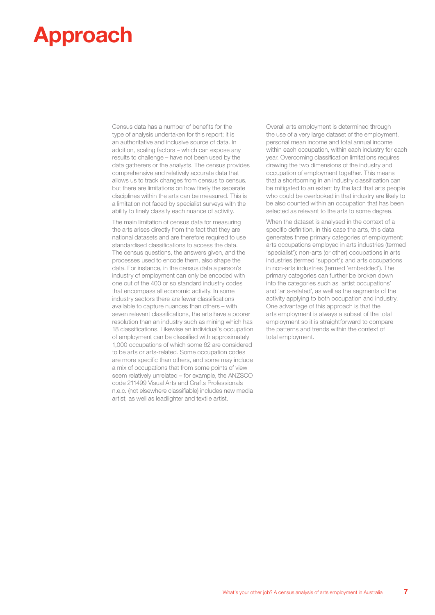## **Approach**

Census data has a number of benefits for the type of analysis undertaken for this report; it is an authoritative and inclusive source of data. In addition, scaling factors – which can expose any results to challenge – have not been used by the data gatherers or the analysts. The census provides comprehensive and relatively accurate data that allows us to track changes from census to census, but there are limitations on how finely the separate disciplines within the arts can be measured. This is a limitation not faced by specialist surveys with the ability to finely classify each nuance of activity.

The main limitation of census data for measuring the arts arises directly from the fact that they are national datasets and are therefore required to use standardised classifications to access the data. The census questions, the answers given, and the processes used to encode them, also shape the data. For instance, in the census data a person's industry of employment can only be encoded with one out of the 400 or so standard industry codes that encompass all economic activity. In some industry sectors there are fewer classifications available to capture nuances than others – with seven relevant classifications, the arts have a poorer resolution than an industry such as mining which has 18 classifications. Likewise an individual's occupation of employment can be classified with approximately 1,000 occupations of which some 62 are considered to be arts or arts-related. Some occupation codes are more specific than others, and some may include a mix of occupations that from some points of view seem relatively unrelated – for example, the ANZSCO code 211499 Visual Arts and Crafts Professionals n.e.c. (not elsewhere classifiable) includes new media artist, as well as leadlighter and textile artist.

Overall arts employment is determined through the use of a very large dataset of the employment, personal mean income and total annual income within each occupation, within each industry for each year. Overcoming classification limitations requires drawing the two dimensions of the industry and occupation of employment together. This means that a shortcoming in an industry classification can be mitigated to an extent by the fact that arts people who could be overlooked in that industry are likely to be also counted within an occupation that has been selected as relevant to the arts to some degree.

When the dataset is analysed in the context of a specific definition, in this case the arts, this data generates three primary categories of employment: arts occupations employed in arts industries (termed 'specialist'); non-arts (or other) occupations in arts industries (termed 'support'); and arts occupations in non-arts industries (termed 'embedded'). The primary categories can further be broken down into the categories such as 'artist occupations' and 'arts-related', as well as the segments of the activity applying to both occupation and industry. One advantage of this approach is that the arts employment is always a subset of the total employment so it is straightforward to compare the patterns and trends within the context of total employment.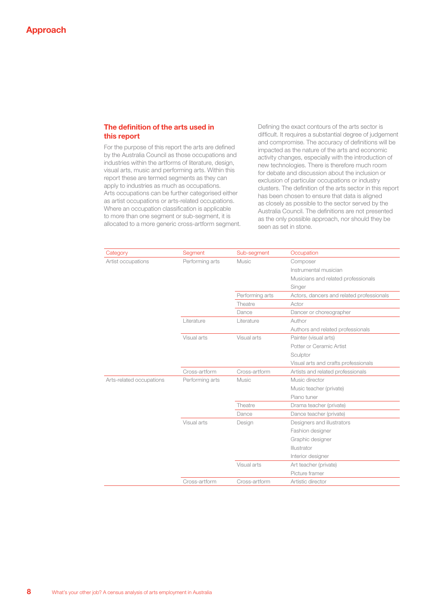#### **The definition of the arts used in this report**

For the purpose of this report the arts are defined by the Australia Council as those occupations and industries within the artforms of literature, design, visual arts, music and performing arts. Within this report these are termed segments as they can apply to industries as much as occupations. Arts occupations can be further categorised either as artist occupations or arts-related occupations. Where an occupation classification is applicable to more than one segment or sub-segment, it is allocated to a more generic cross-artform segment. Defining the exact contours of the arts sector is difficult. It requires a substantial degree of judgement and compromise. The accuracy of definitions will be impacted as the nature of the arts and economic activity changes, especially with the introduction of new technologies. There is therefore much room for debate and discussion about the inclusion or exclusion of particular occupations or industry clusters. The definition of the arts sector in this report has been chosen to ensure that data is aligned as closely as possible to the sector served by the Australia Council. The definitions are not presented as the only possible approach, nor should they be seen as set in stone.

| Category                 | Segment         | Sub-segment     | Occupation                                |
|--------------------------|-----------------|-----------------|-------------------------------------------|
| Artist occupations       | Performing arts | Music           | Composer                                  |
|                          |                 |                 | Instrumental musician                     |
|                          |                 |                 | Musicians and related professionals       |
|                          |                 |                 | Singer                                    |
|                          |                 | Performing arts | Actors, dancers and related professionals |
|                          |                 | Theatre         | Actor                                     |
|                          |                 | Dance           | Dancer or choreographer                   |
|                          | Literature      | Literature      | Author                                    |
|                          |                 |                 | Authors and related professionals         |
|                          | Visual arts     | Visual arts     | Painter (visual arts)                     |
|                          |                 |                 | Potter or Ceramic Artist                  |
|                          |                 |                 | Sculptor                                  |
|                          |                 |                 | Visual arts and crafts professionals      |
|                          | Cross-artform   | Cross-artform   | Artists and related professionals         |
| Arts-related occupations | Performing arts | Music           | Music director                            |
|                          |                 |                 | Music teacher (private)                   |
|                          |                 |                 | Piano tuner                               |
|                          |                 | Theatre         | Drama teacher (private)                   |
|                          |                 | Dance           | Dance teacher (private)                   |
|                          | Visual arts     | Design          | Designers and illustrators                |
|                          |                 |                 | Fashion designer                          |
|                          |                 |                 | Graphic designer                          |
|                          |                 |                 | Illustrator                               |
|                          |                 |                 | Interior designer                         |
|                          |                 | Visual arts     | Art teacher (private)                     |
|                          |                 |                 | Picture framer                            |
|                          | Cross-artform   | Cross-artform   | Artistic director                         |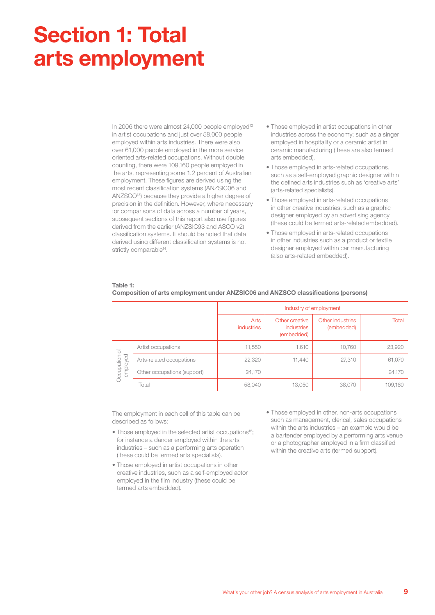## **Section 1: Total arts employment**

In 2006 there were almost  $24,000$  people employed<sup>12</sup> in artist occupations and just over 58,000 people employed within arts industries. There were also over 61,000 people employed in the more service oriented arts-related occupations. Without double counting, there were 109,160 people employed in the arts, representing some 1.2 percent of Australian employment. These figures are derived using the most recent classification systems (ANZSIC06 and ANZSCO13) because they provide a higher degree of precision in the definition. However, where necessary for comparisons of data across a number of years, subsequent sections of this report also use figures derived from the earlier (ANZSIC93 and ASCO v2) classification systems. It should be noted that data derived using different classification systems is not strictly comparable<sup>14</sup>.

- Those employed in artist occupations in other industries across the economy; such as a singer employed in hospitality or a ceramic artist in ceramic manufacturing (these are also termed arts embedded).
- Those employed in arts-related occupations, such as a self-employed graphic designer within the defined arts industries such as 'creative arts' (arts-related specialists).
- Those employed in arts-related occupations in other creative industries, such as a graphic designer employed by an advertising agency (these could be termed arts-related embedded).
- Those employed in arts-related occupations in other industries such as a product or textile designer employed within car manufacturing (also arts-related embedded).

#### **Table 1:**

|                             |                             | Industry of employment    |                                                   |                                |         |  |
|-----------------------------|-----------------------------|---------------------------|---------------------------------------------------|--------------------------------|---------|--|
|                             |                             | <b>Arts</b><br>industries | Other creative<br><i>industries</i><br>(embedded) | Other industries<br>(embedded) | Total   |  |
| ď<br>employed<br>Occupation | Artist occupations          | 11,550                    | 1,610                                             | 10,760                         | 23,920  |  |
|                             | Arts-related occupations    | 22,320                    | 11,440                                            | 27,310                         | 61,070  |  |
|                             | Other occupations (support) | 24,170                    |                                                   |                                | 24,170  |  |
|                             | Total                       | 58,040                    | 13,050                                            | 38,070                         | 109,160 |  |

#### **Composition of arts employment under ANZSIC06 and ANZSCO classifications (persons)**

The employment in each cell of this table can be described as follows:

- Those employed in the selected artist occupations<sup>15</sup>; for instance a dancer employed within the arts industries – such as a performing arts operation (these could be termed arts specialists).
- Those employed in artist occupations in other creative industries, such as a self-employed actor employed in the film industry (these could be termed arts embedded).
- Those employed in other, non-arts occupations such as management, clerical, sales occupations within the arts industries – an example would be a bartender employed by a performing arts venue or a photographer employed in a firm classified within the creative arts (termed support).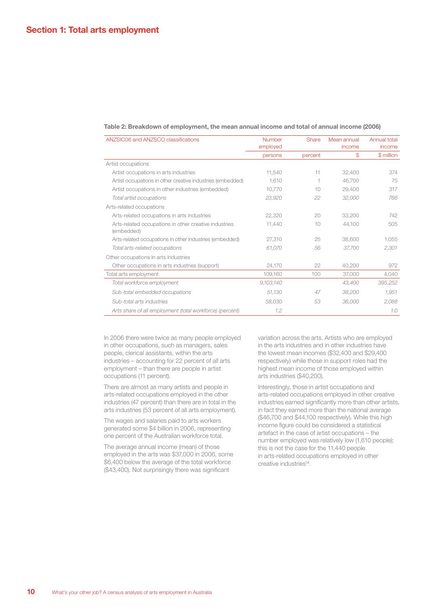| ANZSIC06 and ANZSCO classifications                                 | <b>Number</b><br>employed | Share   | Mean annual<br>income | Annual total<br>income |
|---------------------------------------------------------------------|---------------------------|---------|-----------------------|------------------------|
|                                                                     | persons                   | percent | \$                    | \$ million             |
| Artist occupations                                                  |                           |         |                       |                        |
| Artist occupations in arts industries                               | 11,540                    | 11      | 32,400                | 374                    |
| Artist occupations in other creative industries (embedded)          | 1,610                     | 1       | 46,700                | 75                     |
| Artist occupations in other industries (embedded)                   | 10,770                    | 10      | 29,400                | 317                    |
| Total artist occupations                                            | 23,920                    | 22      | 32,000                | 766                    |
| Arts-related occupations                                            |                           |         |                       |                        |
| Arts-related occupations in arts industries                         | 22,320                    | 20      | 33,200                | 742                    |
| Arts-related occupations in other creative industries<br>(embedded) | 11,440                    | 10      | 44,100                | 505                    |
| Arts-related occupations in other industries (embedded)             | 27.310                    | 25      | 38,600                | 1,055                  |
| Total arts-related occupations                                      | 61,070                    | 56      | 37,700                | 2,301                  |
| Other occupations in arts industries                                |                           |         |                       |                        |
| Other occupations in arts industries (support)                      | 24,170                    | 22      | 40,200                | 972                    |
| Total arts employment                                               | 109,160                   | 100     | 37,000                | 4.040                  |
| Total workforce employment                                          | 9,103,140                 |         | 43,400                | 395,252                |
| Sub-total embedded occupations                                      | 51,130                    | 47      | 38,200                | 1,951                  |
| Sub-total arts industries                                           | 58,030                    | 53      | 36,000                | 2,088                  |
| Arts share of all employment (total workforce) (percent)            | 1.2                       |         |                       | 1,0                    |

#### **Table 2: Breakdown of employment, the mean annual income and total of annual income (2006)**

In 2006 there were twice as many people employed in other occupations, such as managers, sales people, clerical assistants, within the arts industries – accounting for 22 percent of all arts employment – than there are people in artist occupations (11 percent).

There are almost as many artists and people in arts-related occupations employed in the other industries (47 percent) than there are in total in the arts industries (53 percent of all arts employment).

The wages and salaries paid to arts workers generated some \$4 billion in 2006, representing one percent of the Australian workforce total.

The average annual income (mean) of those employed in the arts was \$37,000 in 2006, some \$6,400 below the average of the total workforce (\$43,400). Not surprisingly there was significant

variation across the arts. Artists who are employed in the arts industries and in other industries have the lowest mean incomes (\$32,400 and \$29,400 respectively) while those in support roles had the highest mean income of those employed within arts industries (\$40,200).

Interestingly, those in artist occupations and arts-related occupations employed in other creative industries earned significantly more than other artists, in fact they earned more than the national average (\$46,700 and \$44,100 respectively). While this high income figure could be considered a statistical artefact in the case of artist occupations – the number employed was relatively low (1,610 people); this is not the case for the 11,440 people in arts-related occupations employed in other creative industries<sup>16</sup>.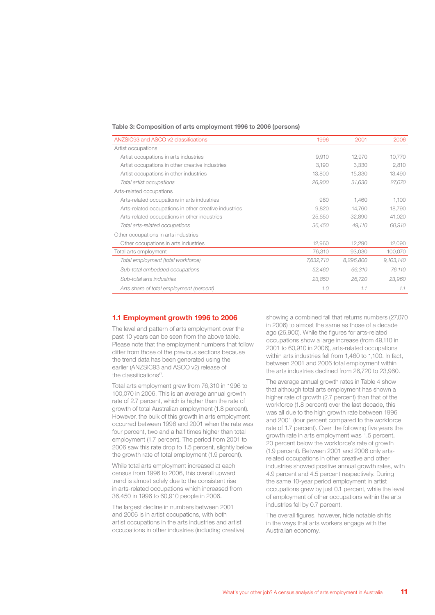#### **Table 3: Composition of arts employment 1996 to 2006 (persons)**

| ANZSIC93 and ASCO v2 classifications                  | 1996      | 2001      | 2006      |
|-------------------------------------------------------|-----------|-----------|-----------|
| Artist occupations                                    |           |           |           |
| Artist occupations in arts industries                 | 9,910     | 12,970    | 10,770    |
| Artist occupations in other creative industries       | 3.190     | 3.330     | 2,810     |
| Artist occupations in other industries                | 13,800    | 15,330    | 13,490    |
| Total artist occupations                              | 26,900    | 31,630    | 27,070    |
| Arts-related occupations                              |           |           |           |
| Arts-related occupations in arts industries           | 980       | 1.460     | 1.100     |
| Arts-related occupations in other creative industries | 9,820     | 14,760    | 18,790    |
| Arts-related occupations in other industries          | 25,650    | 32,890    | 41,020    |
| Total arts-related occupations                        | 36,450    | 49,110    | 60,910    |
| Other occupations in arts industries                  |           |           |           |
| Other occupations in arts industries                  | 12,960    | 12,290    | 12,090    |
| Total arts employment                                 | 76,310    | 93,030    | 100,070   |
| Total employment (total workforce)                    | 7,632,710 | 8,296,800 | 9,103,140 |
| Sub-total embedded occupations                        | 52,460    | 66,310    | 76,110    |
| Sub-total arts industries                             | 23,850    | 26,720    | 23,960    |
| Arts share of total employment (percent)              | 1.0       | 1.1       | 1.1       |

#### **1.1 Employment growth 1996 to 2006**

The level and pattern of arts employment over the past 10 years can be seen from the above table. Please note that the employment numbers that follow differ from those of the previous sections because the trend data has been generated using the earlier (ANZSIC93 and ASCO v2) release of the classifications<sup>17</sup>.

Total arts employment grew from 76,310 in 1996 to 100,070 in 2006. This is an average annual growth rate of 2.7 percent, which is higher than the rate of growth of total Australian employment (1.8 percent). However, the bulk of this growth in arts employment occurred between 1996 and 2001 when the rate was four percent, two and a half times higher than total employment (1.7 percent). The period from 2001 to 2006 saw this rate drop to 1.5 percent, slightly below the growth rate of total employment (1.9 percent).

While total arts employment increased at each census from 1996 to 2006, this overall upward trend is almost solely due to the consistent rise in arts-related occupations which increased from 36,450 in 1996 to 60,910 people in 2006.

The largest decline in numbers between 2001 and 2006 is in artist occupations, with both artist occupations in the arts industries and artist occupations in other industries (including creative)

showing a combined fall that returns numbers (27,070 in 2006) to almost the same as those of a decade ago (26,900). While the figures for arts-related occupations show a large increase (from 49,110 in 2001 to 60,910 in 2006), arts-related occupations within arts industries fell from 1,460 to 1,100. In fact, between 2001 and 2006 total employment within the arts industries declined from 26,720 to 23,960.

The average annual growth rates in Table 4 show that although total arts employment has shown a higher rate of growth (2.7 percent) than that of the workforce (1.8 percent) over the last decade, this was all due to the high growth rate between 1996 and 2001 (four percent compared to the workforce rate of 1.7 percent). Over the following five years the growth rate in arts employment was 1.5 percent, 20 percent below the workforce's rate of growth (1.9 percent). Between 2001 and 2006 only artsrelated occupations in other creative and other industries showed positive annual growth rates, with 4.9 percent and 4.5 percent respectively. During the same 10-year period employment in artist occupations grew by just 0.1 percent, while the level of employment of other occupations within the arts industries fell by 0.7 percent.

The overall figures, however, hide notable shifts in the ways that arts workers engage with the Australian economy.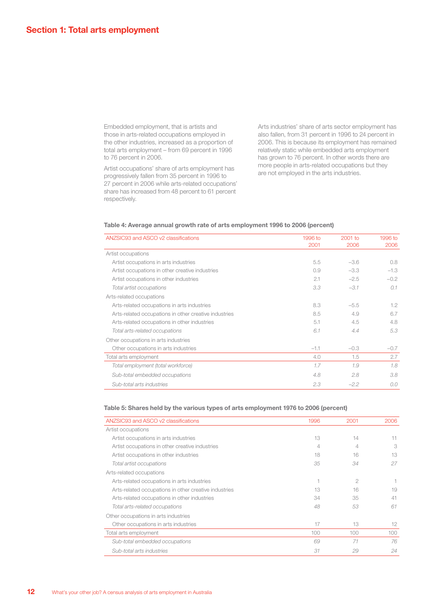Embedded employment, that is artists and those in arts-related occupations employed in the other industries, increased as a proportion of total arts employment – from 69 percent in 1996 to 76 percent in 2006.

Artist occupations' share of arts employment has progressively fallen from 35 percent in 1996 to 27 percent in 2006 while arts-related occupations' share has increased from 48 percent to 61 percent respectively.

Arts industries' share of arts sector employment has also fallen, from 31 percent in 1996 to 24 percent in 2006. This is because its employment has remained relatively static while embedded arts employment has grown to 76 percent. In other words there are more people in arts-related occupations but they are not employed in the arts industries.

#### **Table 4: Average annual growth rate of arts employment 1996 to 2006 (percent)**

| ANZSIC93 and ASCO v2 classifications                  | 1996 to<br>2001 | $2001$ to<br>2006 | 1996 to<br>2006 |
|-------------------------------------------------------|-----------------|-------------------|-----------------|
| Artist occupations                                    |                 |                   |                 |
| Artist occupations in arts industries                 | 5.5             | $-3.6$            | 0.8             |
| Artist occupations in other creative industries       | 0.9             | $-3.3$            | $-1.3$          |
| Artist occupations in other industries                | 2.1             | $-2.5$            | $-0.2$          |
| Total artist occupations                              | 3.3             | $-3.1$            | 0.1             |
| Arts-related occupations                              |                 |                   |                 |
| Arts-related occupations in arts industries           | 8.3             | $-5.5$            | 1.2             |
| Arts-related occupations in other creative industries | 8.5             | 4.9               | 6.7             |
| Arts-related occupations in other industries          | 5.1             | 4.5               | 4.8             |
| Total arts-related occupations                        | 6.1             | 4.4               | 5.3             |
| Other occupations in arts industries                  |                 |                   |                 |
| Other occupations in arts industries                  | $-1.1$          | $-0.3$            | $-0.7$          |
| Total arts employment                                 | 4.0             | 1.5               | 2.7             |
| Total employment (total workforce)                    | 1.7             | 1.9               | 7.8             |
| Sub-total embedded occupations                        | 4.8             | 2.8               | 3.8             |
| Sub-total arts industries                             | 2.3             | $-2.2$            | 0.0             |

#### **Table 5: Shares held by the various types of arts employment 1976 to 2006 (percent)**

| ANZSIC93 and ASCO v2 classifications                  | 1996 | 2001 | 2006 |
|-------------------------------------------------------|------|------|------|
| Artist occupations                                    |      |      |      |
| Artist occupations in arts industries                 | 13   | 14   | 11   |
| Artist occupations in other creative industries       | 4    | 4    | 3    |
| Artist occupations in other industries                | 18   | 16   | 13   |
| Total artist occupations                              | 35   | 34   | 27   |
| Arts-related occupations                              |      |      |      |
| Arts-related occupations in arts industries           |      | 2    |      |
| Arts-related occupations in other creative industries | 13   | 16   | 19   |
| Arts-related occupations in other industries          | 34   | 35   | 41   |
| Total arts-related occupations                        | 48   | 53   | 61   |
| Other occupations in arts industries                  |      |      |      |
| Other occupations in arts industries                  | 17   | 13   | 12   |
| Total arts employment                                 | 100  | 100  | 100  |
| Sub-total embedded occupations                        | 69   | 71   | 76   |
| Sub-total arts industries                             | 31   | 29   | 24   |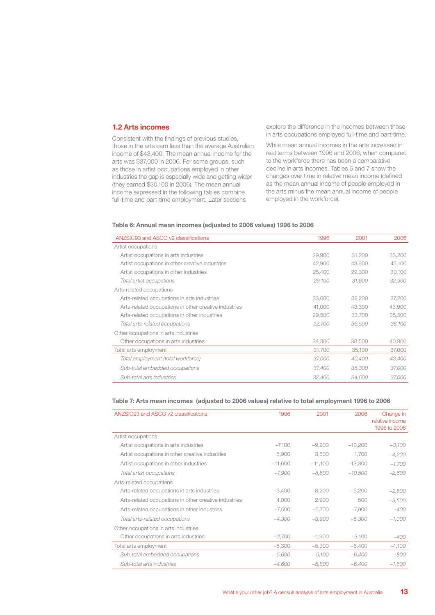#### **1.2 Arts incomes**

Consistent with the findings of previous studies, those in the arts earn less than the average Australian income of \$43,400. The mean annual income for the arts was \$37,000 in 2006. For some groups, such as those in artist occupations employed in other industries the gap is especially wide and getting wider (they earned \$30,100 in 2006). The mean annual income expressed in the following tables combine full-time and part-time employment. Later sections

explore the difference in the incomes between those in arts occupations employed full-time and part-time.

While mean annual incomes in the arts increased in real terms between 1996 and 2006, when compared to the workforce there has been a comparative decline in arts incomes. Tables 6 and 7 show the changes over time in relative mean income (defined as the mean annual income of people employed in the arts minus the mean annual income of people employed in the workforce).

#### **Table 6: Annual mean incomes (adjusted to 2006 values) 1996 to 2006**

| ANZSIC93 and ASCO v2 classifications                  | 1996   | 2001   | 2006   |
|-------------------------------------------------------|--------|--------|--------|
| Artist occupations                                    |        |        |        |
| Artist occupations in arts industries                 | 29,900 | 31,200 | 33,200 |
| Artist occupations in other creative industries       | 42,900 | 43,900 | 45,100 |
| Artist occupations in other industries                | 25,400 | 29,300 | 30,100 |
| Total artist occupations                              | 29,100 | 31,600 | 32,900 |
| Arts-related occupations                              |        |        |        |
| Arts-related occupations in arts industries           | 33,600 | 32,200 | 37,200 |
| Arts-related occupations in other creative industries | 41,000 | 43,300 | 43,900 |
| Arts-related occupations in other industries          | 29,500 | 33,700 | 35,500 |
| Total arts-related occupations                        | 32,700 | 36,500 | 38,100 |
| Other occupations in arts industries                  |        |        |        |
| Other occupations in arts industries                  | 34,300 | 38,500 | 40,300 |
| Total arts employment                                 | 31,700 | 35,100 | 37,000 |
| Total employment (total workforce)                    | 37,000 | 40,400 | 43,400 |
| Sub-total embedded occupations                        | 31,400 | 35,300 | 37,000 |
| Sub-total arts industries                             | 32,400 | 34,600 | 37,000 |

#### **Table 7: Arts mean incomes (adjusted to 2006 values) relative to total employment 1996 to 2006**

| ANZSIC93 and ASCO v2 classifications                  | 1996      | 2001      | 2006      | Change in<br>relative income<br>1996 to 2006 |
|-------------------------------------------------------|-----------|-----------|-----------|----------------------------------------------|
| Artist occupations                                    |           |           |           |                                              |
| Artist occupations in arts industries                 | $-7,100$  | $-9,200$  | $-10,200$ | $-3,100$                                     |
| Artist occupations in other creative industries       | 5,900     | 3,500     | 1,700     | -4,200                                       |
| Artist occupations in other industries                | $-11,600$ | $-11,100$ | $-13,300$ | $-1,700$                                     |
| Total artist occupations                              | $-7,900$  | $-8,800$  | $-10,500$ | $-2,600$                                     |
| Arts-related occupations                              |           |           |           |                                              |
| Arts-related occupations in arts industries           | $-3,400$  | $-8,200$  | $-6,200$  | $-2,800$                                     |
| Arts-related occupations in other creative industries | 4,000     | 2,900     | 500       | $-3,500$                                     |
| Arts-related occupations in other industries          | $-7,500$  | $-6,700$  | $-7,900$  | $-400$                                       |
| Total arts-related occupations                        | $-4,300$  | $-3,900$  | $-5,300$  | $-1,000$                                     |
| Other occupations in arts industries                  |           |           |           |                                              |
| Other occupations in arts industries                  | $-2,700$  | $-1,900$  | $-3,100$  | $-400$                                       |
| Total arts employment                                 | $-5,300$  | $-5,300$  | $-6,400$  | $-1,100$                                     |
| Sub-total embedded occupations                        | $-5,600$  | $-5,100$  | $-6,400$  | -800                                         |
| Sub-total arts industries                             | $-4,600$  | $-5,800$  | $-6,400$  | $-1,800$                                     |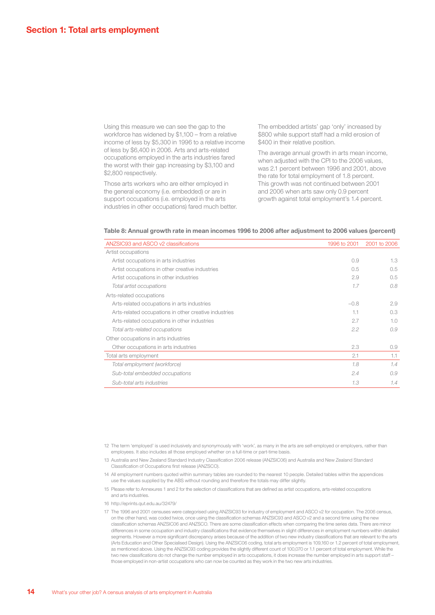Using this measure we can see the gap to the workforce has widened by \$1,100 – from a relative income of less by \$5,300 in 1996 to a relative income of less by \$6,400 in 2006. Arts and arts-related occupations employed in the arts industries fared the worst with their gap increasing by \$3,100 and \$2,800 respectively.

Those arts workers who are either employed in the general economy (i.e. embedded) or are in support occupations (i.e. employed in the arts industries in other occupations) fared much better. The embedded artists' gap 'only' increased by \$800 while support staff had a mild erosion of \$400 in their relative position.

The average annual growth in arts mean income, when adjusted with the CPI to the 2006 values. was 2.1 percent between 1996 and 2001, above the rate for total employment of 1.8 percent. This growth was not continued between 2001 and 2006 when arts saw only 0.9 percent growth against total employment's 1.4 percent.

#### **Table 8: Annual growth rate in mean incomes 1996 to 2006 after adjustment to 2006 values (percent)**

| ANZSIC93 and ASCO v2 classifications                  | 1996 to 2001 | 2001 to 2006 |
|-------------------------------------------------------|--------------|--------------|
| Artist occupations                                    |              |              |
| Artist occupations in arts industries                 | 0.9          | 1.3          |
| Artist occupations in other creative industries       | 0.5          | 0.5          |
| Artist occupations in other industries                | 2.9          | 0.5          |
| Total artist occupations                              | 1.7          | 0.8          |
| Arts-related occupations                              |              |              |
| Arts-related occupations in arts industries           | $-0.8$       | 2.9          |
| Arts-related occupations in other creative industries | 1.1          | 0.3          |
| Arts-related occupations in other industries          | 2.7          | 1.0          |
| Total arts-related occupations                        | 2.2          | 0.9          |
| Other occupations in arts industries                  |              |              |
| Other occupations in arts industries                  | 2.3          | 0.9          |
| Total arts employment                                 | 2.1          | 1.1          |
| Total employment (workforce)                          | 1.8          | 1.4          |
| Sub-total embedded occupations                        | 2.4          | 0.9          |
| Sub-total arts industries                             | 1.3          | 1.4          |

12 The term 'employed' is used inclusively and synonymously with 'work', as many in the arts are self-employed or employers, rather than employees. It also includes all those employed whether on a full-time or part-time basis.

13 Australia and New Zealand Standard Industry Classification 2006 release (ANZSIC06) and Australia and New Zealand Standard Classification of Occupations first release (ANZSCO).

14 All employment numbers quoted within summary tables are rounded to the nearest 10 people. Detailed tables within the appendices use the values supplied by the ABS without rounding and therefore the totals may differ slightly.

15 Please refer to Annexures 1 and 2 for the selection of classifications that are defined as artist occupations, arts-related occupations and arts industries.

16 http://eprints.qut.edu.au/32479/

17 The 1996 and 2001 censuses were categorised using ANZSIC93 for industry of employment and ASCO v2 for occupation. The 2006 census, on the other hand, was coded twice, once using the classification schemas ANZSIC93 and ASCO v2 and a second time using the new classification schemas ANZSIC06 and ANZSCO. There are some classification effects when comparing the time series data. There are minor differences in some occupation and industry classifications that evidence themselves in slight differences in employment numbers within detailed segments. However a more significant discrepancy arises because of the addition of two new industry classifications that are relevant to the arts (Arts Education and Other Specialised Design). Using the ANZSIC06 coding, total arts employment is 109,160 or 1.2 percent of total employment, as mentioned above. Using the ANZSIC93 coding provides the slightly different count of 100,070 or 1.1 percent of total employment. While the two new classifications do not change the number employed in arts occupations, it does increase the number employed in arts support staff – those employed in non-artist occupations who can now be counted as they work in the two new arts industries.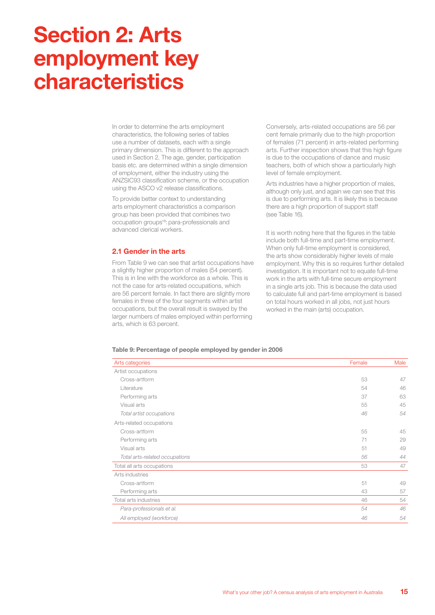## **Section 2: Arts employment key characteristics**

In order to determine the arts employment characteristics, the following series of tables use a number of datasets, each with a single primary dimension. This is different to the approach used in Section 2. The age, gender, participation basis etc. are determined within a single dimension of employment, either the industry using the ANZSIC93 classification scheme, or the occupation using the ASCO v2 release classifications.

To provide better context to understanding arts employment characteristics a comparison group has been provided that combines two occupation groups<sup>18</sup>: para-professionals and advanced clerical workers.

#### **2.1 Gender in the arts**

From Table 9 we can see that artist occupations have a slightly higher proportion of males (54 percent). This is in line with the workforce as a whole. This is not the case for arts-related occupations, which are 56 percent female. In fact there are slightly more females in three of the four segments within artist occupations, but the overall result is swayed by the larger numbers of males employed within performing arts, which is 63 percent.

Conversely, arts-related occupations are 56 per cent female primarily due to the high proportion of females (71 percent) in arts-related performing arts. Further inspection shows that this high figure is due to the occupations of dance and music teachers, both of which show a particularly high level of female employment.

Arts industries have a higher proportion of males, although only just, and again we can see that this is due to performing arts. It is likely this is because there are a high proportion of support staff (see Table 16).

It is worth noting here that the figures in the table include both full-time and part-time employment. When only full-time employment is considered, the arts show considerably higher levels of male employment. Why this is so requires further detailed investigation. It is important not to equate full-time work in the arts with full-time secure employment in a single arts job. This is because the data used to calculate full and part-time employment is based on total hours worked in all jobs, not just hours worked in the main (arts) occupation.

#### **Table 9: Percentage of people employed by gender in 2006**

| Arts categories                | Female | Male |
|--------------------------------|--------|------|
| Artist occupations             |        |      |
| Cross-artform                  | 53     | 47   |
| Literature                     | 54     | 46   |
| Performing arts                | 37     | 63   |
| Visual arts                    | 55     | 45   |
| Total artist occupations       | 46     | 54   |
| Arts-related occupations       |        |      |
| Cross-artform                  | 55     | 45   |
| Performing arts                | 71     | 29   |
| Visual arts                    | 51     | 49   |
| Total arts-related occupations | 56     | 44   |
| Total all arts occupations     | 53     | 47   |
| Arts industries                |        |      |
| Cross-artform                  | 51     | 49   |
| Performing arts                | 43     | 57   |
| Total arts industries          | 46     | 54   |
| Para-professionals et al.      | 54     | 46   |
| All employed (workforce)       | 46     | 54   |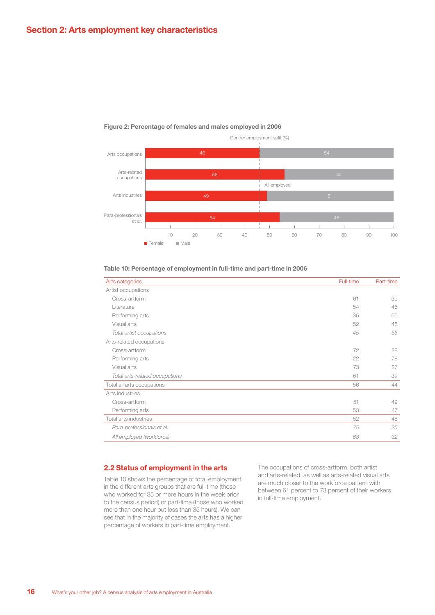

#### **Figure 2: Percentage of females and males employed in 2006**

| Arts categories                | Full-time | Part-time |
|--------------------------------|-----------|-----------|
| Artist occupations             |           |           |
| Cross-artform                  | 61        | 39        |
| Literature                     | 54        | 46        |
| Performing arts                | 35        | 65        |
| Visual arts                    | 52        | 48        |
| Total artist occupations       | 45        | 55        |
| Arts-related occupations       |           |           |
| Cross-artform                  | 72        | 28        |
| Performing arts                | 22        | 78        |
| Visual arts                    | 73        | 27        |
| Total arts-related occupations | 61        | 39        |
| Total all arts occupations     | 56        | 44        |
| Arts industries                |           |           |
| Cross-artform                  | 51        | 49        |
| Performing arts                | 53        | 47        |
| Total arts industries          | 52        | 48        |
| Para-professionals et al.      | 75        | 25        |
| All employed (workforce)       | 68        | 32        |

#### **Table 10: Percentage of employment in full-time and part-time in 2006**

#### **2.2 Status of employment in the arts**

Table 10 shows the percentage of total employment in the different arts groups that are full-time (those who worked for 35 or more hours in the week prior to the census period) or part-time (those who worked more than one hour but less than 35 hours). We can see that in the majority of cases the arts has a higher percentage of workers in part-time employment.

The occupations of cross-artform, both artist and arts-related, as well as arts-related visual arts are much closer to the workforce pattern with between 61 percent to 73 percent of their workers in full-time employment.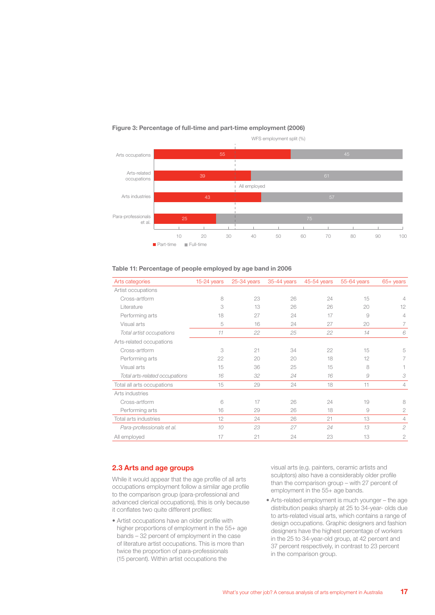

#### **Figure 3: Percentage of full-time and part-time employment (2006)**

| Arts categories                | $15-24$ years | 25-34 years | 35-44 years | 45-54 years | 55-64 years | 65+ years      |
|--------------------------------|---------------|-------------|-------------|-------------|-------------|----------------|
| Artist occupations             |               |             |             |             |             |                |
| Cross-artform                  | 8             | 23          | 26          | 24          | 15          | 4              |
| Literature                     | 3             | 13          | 26          | 26          | 20          | 12             |
| Performing arts                | 18            | 27          | 24          | 17          | 9           | 4              |
| Visual arts                    | 5             | 16          | 24          | 27          | 20          | 7              |
| Total artist occupations       | 11            | 22          | 25          | 22          | 14          | 6              |
| Arts-related occupations       |               |             |             |             |             |                |
| Cross-artform                  | 3             | 21          | 34          | 22          | 15          | 5              |
| Performing arts                | 22            | 20          | 20          | 18          | 12          |                |
| Visual arts                    | 15            | 36          | 25          | 15          | 8           |                |
| Total arts-related occupations | 16            | 32          | 24          | 16          | 9           | 3              |
| Total all arts occupations     | 15            | 29          | 24          | 18          | 11          | 4              |
| Arts industries                |               |             |             |             |             |                |
| Cross-artform                  | 6             | 17          | 26          | 24          | 19          | 8              |
| Performing arts                | 16            | 29          | 26          | 18          | 9           | 2              |
| Total arts industries          | 12            | 24          | 26          | 21          | 13          | 4              |
| Para-professionals et al.      | 10            | 23          | 27          | 24          | 13          | $\mathfrak{D}$ |
| All employed                   | 17            | 21          | 24          | 23          | 13          | $\overline{2}$ |

#### **Table 11: Percentage of people employed by age band in 2006**

#### **2.3 Arts and age groups**

While it would appear that the age profile of all arts occupations employment follow a similar age profile to the comparison group (para-professional and advanced clerical occupations), this is only because it conflates two quite different profiles:

• Artist occupations have an older profile with higher proportions of employment in the 55+ age bands – 32 percent of employment in the case of literature artist occupations. This is more than twice the proportion of para-professionals (15 percent). Within artist occupations the

visual arts (e.g. painters, ceramic artists and sculptors) also have a considerably older profile than the comparison group – with 27 percent of employment in the 55+ age bands.

• Arts-related employment is much younger – the age distribution peaks sharply at 25 to 34-year- olds due to arts-related visual arts, which contains a range of design occupations. Graphic designers and fashion designers have the highest percentage of workers in the 25 to 34-year-old group, at 42 percent and 37 percent respectively, in contrast to 23 percent in the comparison group.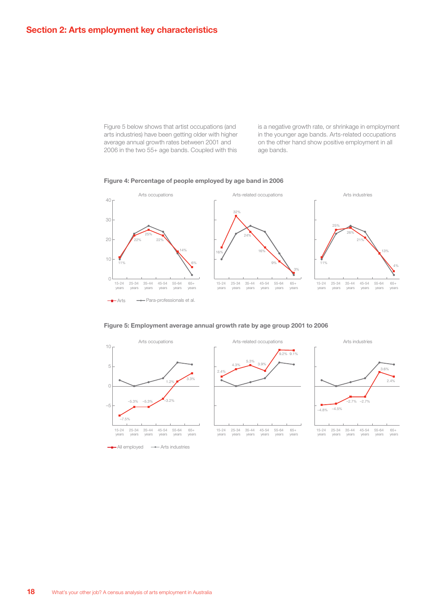Figure 5 below shows that artist occupations (and arts industries) have been getting older with higher average annual growth rates between 2001 and 2006 in the two 55+ age bands. Coupled with this

is a negative growth rate, or shrinkage in employment in the younger age bands. Arts-related occupations on the other hand show positive employment in all age bands.







#### **Figure 5: Employment average annual growth rate by age group 2001 to 2006**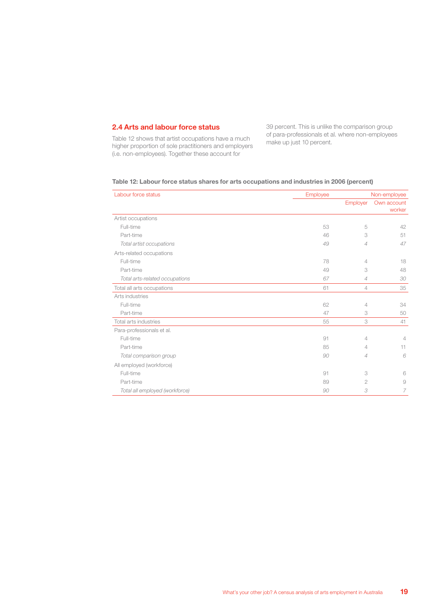#### **2.4 Arts and labour force status**

Table 12 shows that artist occupations have a much higher proportion of sole practitioners and employers (i.e. non-employees). Together these account for

39 percent. This is unlike the comparison group of para-professionals et al. where non-employees make up just 10 percent.

| Labour force status            | Employee |                | Non-employee          |
|--------------------------------|----------|----------------|-----------------------|
|                                |          | Employer       | Own account<br>worker |
| Artist occupations             |          |                |                       |
| Full-time                      | 53       | 5              | 42                    |
| Part-time                      | 46       | 3              | 51                    |
| Total artist occupations       | 49       | $\overline{4}$ | 47                    |
| Arts-related occupations       |          |                |                       |
| Full-time                      | 78       | 4              | 18                    |
| Part-time                      | 49       | 3              | 48                    |
| Total arts-related occupations | 67       | $\overline{4}$ | 30                    |
| Total all arts occupations     | 61       | $\overline{4}$ | 35                    |
| Arts industries                |          |                |                       |
| Full-time                      | 62       | 4              | 34                    |
| Part-time                      | 47       | 3              | 50                    |
| Total arts industries          | 55       | 3              | 41                    |
| Para-professionals et al.      |          |                |                       |
| Full-time                      | 91       | 4              | $\overline{4}$        |
| Part-time                      | 85       | 4              | 11                    |
| Total comparison group         | 90       | $\overline{4}$ | 6                     |
| All employed (workforce)       |          |                |                       |
| Full-time                      | 91       | 3              | 6                     |
| Part-time                      | 89       | 2              | 9                     |
| Total all employed (workforce) | 90       | 3              | 7                     |

#### **Table 12: Labour force status shares for arts occupations and industries in 2006 (percent)**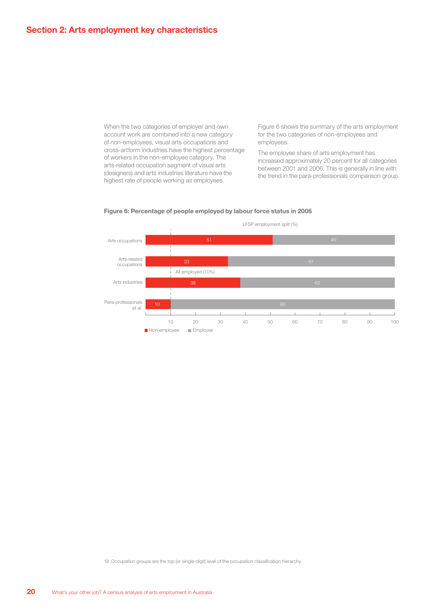When the two categories of employer and own account work are combined into a new category of non-employees, visual arts occupations and cross-artform industries have the highest percentage of workers in the non-employee category. The arts-related occupation segment of visual arts (designers) and arts industries literature have the highest rate of people working as employees.

Figure 6 shows the summary of the arts employment for the two categories of non-employees and employees.

The employee share of arts employment has increased approximately 20 percent for all categories between 2001 and 2006. This is generally in line with the trend in the para-professionals comparison group.



#### **Figure 6: Percentage of people employed by labour force status in 2006**

18 Occupation groups are the top (or single-digit) level of the occupation classification hierarchy.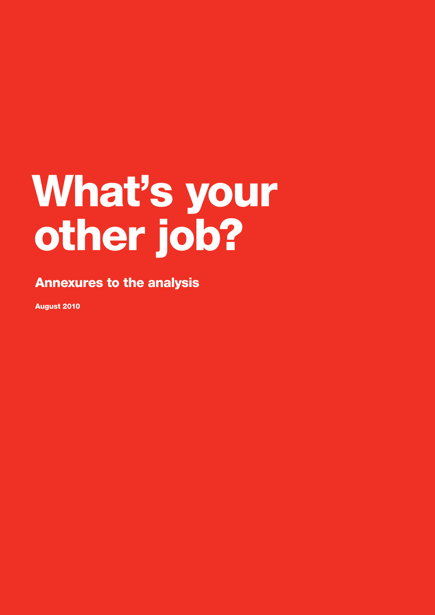## What's your other job?

### Annexures to the analysis

August 2010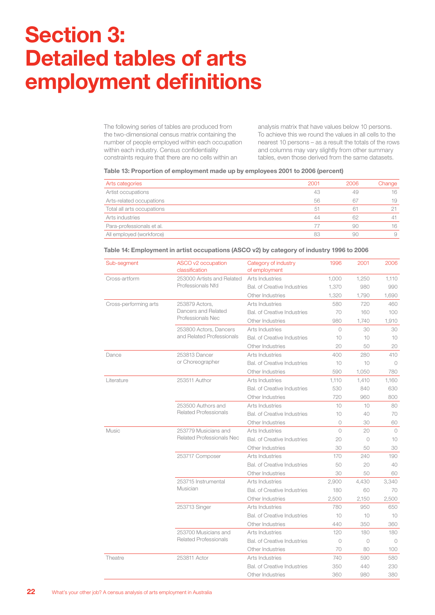## **Section 3: Detailed tables of arts employment definitions**

The following series of tables are produced from the two-dimensional census matrix containing the number of people employed within each occupation within each industry. Census confidentiality constraints require that there are no cells within an

analysis matrix that have values below 10 persons. To achieve this we round the values in all cells to the nearest 10 persons – as a result the totals of the rows and columns may vary slightly from other summary tables, even those derived from the same datasets.

#### **Table 13: Proportion of employment made up by employees 2001 to 2006 (percent)**

| Arts categories            | 2001 | 2006 | Change |
|----------------------------|------|------|--------|
| Artist occupations         | 43   | 49   | 16     |
| Arts-related occupations   | 56   | 67   | 19     |
| Total all arts occupations | 51   | 61   |        |
| Arts industries            | 44   | 62   | 41     |
| Para-professionals et al.  | 77   | 90   | 16     |
| All employed (workforce)   | 83   | 90   | 9      |

#### Sub-segment ASCO v2 occupation classification Category of industry of employment 1996 2001 2006 Cross-artform 253000 Artists and Related Professionals Nfd Arts Industries 1,000 1,250 1,110 Bal. of Creative Industries 1,370 980 990 Other Industries 1,320 1,790 1,690 Cross-performing arts 253879 Actors, Dancers and Related Professionals Nec Arts Industries 580 720 460 Bal. of Creative Industries 70 160 100 Other Industries 880 1,740 1,910 253800 Actors, Dancers and Related Professionals Arts Industries 0 30 30 30 Bal. of Creative Industries 10 10 10 10 Other Industries 20 50 20 Dance 253813 Dancer or Choreographer Arts Industries 400 280 410 Bal. of Creative Industries 10 10 0 Other Industries 690 1.050 780 Literature 253511 Author Arts Industries 1,110 1,410 1,160 Bal. of Creative Industries  $530$  840 630 Other Industries **720** 960 800 253500 Authors and Related Professionals Arts Industries 10 10 30 Bal. of Creative Industries 10 40 70 Other Industries 0 30 60 Music 253779 Musicians and Related Professionals Nec Arts Industries 0 20 0 Bal. of Creative Industries 20 0 10 Other Industries 30 30 50 30 253717 Composer Arts Industries 170 240 190 Bal. of Creative Industries 50 20 40 Other Industries 30 50 60 253715 Instrumental Musician Arts Industries 2,900 4,430 3,340 Bal. of Creative Industries 180 60 70 Other Industries 2,500 2,150 2,500 253713 Singer Arts Industries 780 950 650 Bal. of Creative Industries 10 10 10 10 Other Industries **440** 350 360 253700 Musicians and Related Professionals Arts Industries 120 180 180 Bal. of Creative Industries 0 0 0 0 0 Other Industries 70 80 100 Theatre 253811 Actor Arts Industries 740 590 580 Bal. of Creative Industries 350 440 230 Other Industries 360 380 380

#### **Table 14: Employment in artist occupations (ASCO v2) by category of industry 1996 to 2006**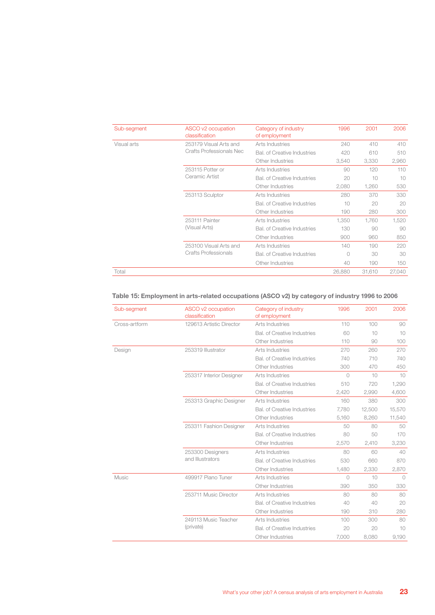| Sub-segment                                           | ASCO v2 occupation<br>classification | Category of industry<br>of employment | 1996       | 2001   | 2006   |
|-------------------------------------------------------|--------------------------------------|---------------------------------------|------------|--------|--------|
| Visual arts                                           | 253179 Visual Arts and               | Arts Industries                       | 240        | 410    | 410    |
|                                                       | Crafts Professionals Nec             | Bal. of Creative Industries           | 420        | 610    | 510    |
|                                                       |                                      | Other Industries                      | 3,540      | 3,330  | 2,960  |
| 253115 Potter or<br>Ceramic Artist<br>253113 Sculptor |                                      | Arts Industries                       | 90         | 120    | 110    |
|                                                       |                                      | Bal. of Creative Industries           | 20         | 10     | 10     |
|                                                       |                                      | Other Industries                      | 2,080      | 1.260  | 530    |
|                                                       | Arts Industries                      | 280                                   | 370        | 330    |        |
|                                                       |                                      | Bal. of Creative Industries           | 10         | 20     | 20     |
|                                                       |                                      | Other Industries                      | 190        | 280    | 300    |
|                                                       | 253111 Painter                       | Arts Industries                       | 1,350      | 1,760  | 1,520  |
|                                                       | (Visual Arts)                        | Bal. of Creative Industries           | 130        | 90     | 90     |
|                                                       |                                      | Other Industries                      | 900        | 960    | 850    |
|                                                       | 253100 Visual Arts and               | Arts Industries                       | 140        | 190    | 220    |
|                                                       | Crafts Professionals                 | <b>Bal.</b> of Creative Industries    | $\bigcirc$ | 30     | 30     |
|                                                       |                                      | Other Industries                      | 40         | 190    | 150    |
| Total                                                 |                                      |                                       | 26,880     | 31,610 | 27,040 |
|                                                       |                                      |                                       |            |        |        |

#### **Table 15: Employment in arts-related occupations (ASCO v2) by category of industry 1996 to 2006**

| Sub-segment   | ASCO v2 occupation<br>classification | Category of industry<br>of employment | 1996       | 2001   | 2006      |
|---------------|--------------------------------------|---------------------------------------|------------|--------|-----------|
| Cross-artform | 129613 Artistic Director             | Arts Industries                       | 110        | 100    | 90        |
|               |                                      | Bal, of Creative Industries           | 60         | 10     | 10        |
|               |                                      | Other Industries                      | 110        | 90     | 100       |
| Design        | 253319 Illustrator                   | Arts Industries                       | 270        | 260    | 270       |
|               |                                      | <b>Bal.</b> of Creative Industries    | 740        | 710    | 740       |
|               |                                      | Other Industries                      | 300        | 470    | 450       |
|               | 253317 Interior Designer             | Arts Industries                       | $\bigcirc$ | 10     | 10        |
|               |                                      | Bal, of Creative Industries           | 510        | 720    | 1,290     |
|               |                                      | Other Industries                      | 2,420      | 2,990  | 4,600     |
|               | 253313 Graphic Designer              | Arts Industries                       | 160        | 380    | 300       |
|               | 253311 Fashion Designer              | Bal, of Creative Industries           | 7.780      | 12,500 | 15,570    |
|               |                                      | Other Industries                      | 5,160      | 8,260  | 11,540    |
|               |                                      | Arts Industries                       | 50         | 80     | 50        |
|               |                                      | Bal, of Creative Industries           | 80         | 50     | 170       |
|               |                                      | Other Industries                      | 2,570      | 2,410  | 3,230     |
|               | 253300 Designers                     | Arts Industries                       | 80         | 60     | 40        |
|               | and Illustrators                     | Bal. of Creative Industries           | 530        | 660    | 870       |
|               |                                      | Other Industries                      | 1.480      | 2,330  | 2,870     |
| Music         | 499917 Piano Tuner                   | Arts Industries                       | $\bigcirc$ | 10     | $\bigcap$ |
|               |                                      | Other Industries                      | 390        | 350    | 330       |
|               | 253711 Music Director                | Arts Industries                       | 80         | 80     | 80        |
|               |                                      | Bal, of Creative Industries           | 40         | 40     | 20        |
|               |                                      | Other Industries                      | 190        | 310    | 280       |
|               | 249113 Music Teacher                 | Arts Industries                       | 100        | 300    | 80        |
|               | (private)                            | Bal, of Creative Industries           | 20         | 20     | 10        |
|               |                                      | Other Industries                      | 7,000      | 8,080  | 9,190     |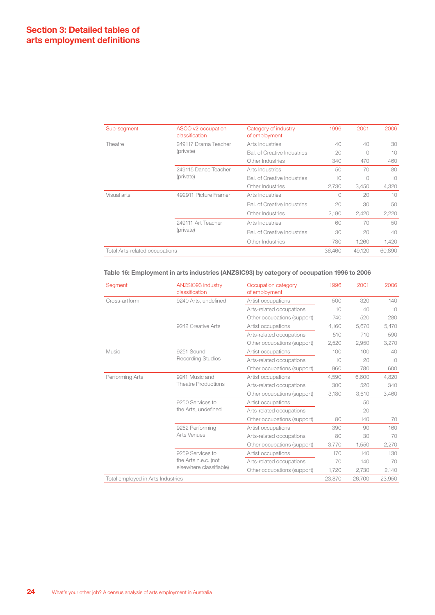| Sub-segment                    | ASCO v2 occupation<br>classification | Category of industry<br>of employment | 1996   | 2001   | 2006   |
|--------------------------------|--------------------------------------|---------------------------------------|--------|--------|--------|
| Theatre                        | 249117 Drama Teacher                 | Arts Industries                       | 40     | 40     | 30     |
|                                | (private)                            | <b>Bal.</b> of Creative Industries    | 20     | 0      | 10     |
|                                |                                      | Other Industries                      | 340    | 470    | 460    |
|                                | 249115 Dance Teacher                 | Arts Industries                       | 50     | 70     | 80     |
|                                | (private)                            | <b>Bal.</b> of Creative Industries    | 10     | 0      | 10     |
|                                |                                      | Other Industries                      | 2,730  | 3,450  | 4,320  |
| Visual arts                    | 492911 Picture Framer                | Arts Industries                       | 0      | 20     | 10     |
|                                |                                      | <b>Bal.</b> of Creative Industries    | 20     | 30     | 50     |
|                                |                                      | Other Industries                      | 2,190  | 2,420  | 2,220  |
|                                | 249111 Art Teacher                   | Arts Industries                       | 60     | 70     | 50     |
|                                | (private)                            | <b>Bal.</b> of Creative Industries    | 30     | 20     | 40     |
|                                |                                      | Other Industries                      | 780    | 1.260  | 1,420  |
| Total Arts-related occupations |                                      |                                       | 36,460 | 49.120 | 60.890 |

#### **Table 16: Employment in arts industries (ANZSIC93) by category of occupation 1996 to 2006**

| Segment                           | ANZSIC93 industry<br>classification | Occupation category<br>of employment | 1996   | 2001   | 2006   |
|-----------------------------------|-------------------------------------|--------------------------------------|--------|--------|--------|
| Cross-artform                     | 9240 Arts, undefined                | Artist occupations                   | 500    | 320    | 140    |
|                                   |                                     | Arts-related occupations             | 10     | 40     | 10     |
|                                   |                                     | Other occupations (support)          | 740    | 520    | 280    |
|                                   | 9242 Creative Arts                  | Artist occupations                   | 4.160  | 5,670  | 5,470  |
|                                   |                                     | Arts-related occupations             | 510    | 710    | 590    |
|                                   |                                     | Other occupations (support)          | 2,520  | 2,950  | 3,270  |
| Music                             | 9251 Sound                          | Artist occupations                   | 100    | 100    | 40     |
|                                   | <b>Recording Studios</b>            | Arts-related occupations             | 10     | 20     | 10     |
|                                   |                                     | Other occupations (support)          | 960    | 780    | 600    |
| Performing Arts                   | 9241 Music and                      | Artist occupations                   | 4,590  | 6,600  | 4,820  |
|                                   | <b>Theatre Productions</b>          | Arts-related occupations             | 300    | 520    | 340    |
|                                   |                                     | Other occupations (support)          | 3,180  | 3,610  | 3,460  |
|                                   | 9250 Services to                    | Artist occupations                   |        | 50     |        |
|                                   | the Arts, undefined                 | Arts-related occupations             |        | 20     |        |
|                                   |                                     | Other occupations (support)          | 80     | 140    | 70     |
|                                   | 9252 Performing                     | Artist occupations                   | 390    | 90     | 160    |
|                                   | Arts Venues                         | Arts-related occupations             | 80     | 30     | 70     |
|                                   | Other occupations (support)         | 3,770                                | 1,550  | 2,270  |        |
|                                   | 9259 Services to                    | Artist occupations                   | 170    | 140    | 130    |
|                                   | the Arts n.e.c. (not                | Arts-related occupations             | 70     | 140    | 70     |
|                                   | elsewhere classifiable)             | Other occupations (support)          | 1.720  | 2,730  | 2,140  |
| Total employed in Arts Industries |                                     |                                      | 23,870 | 26,700 | 23,950 |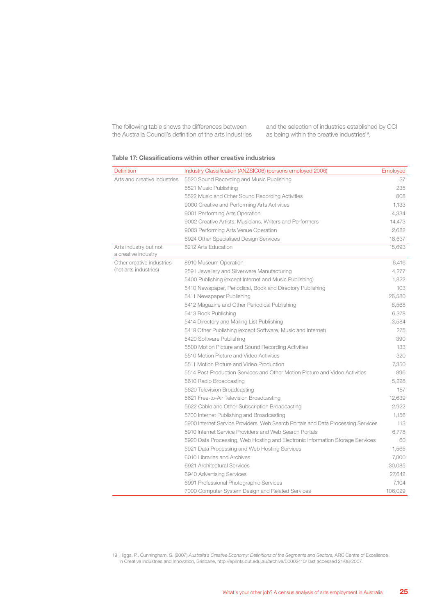The following table shows the differences between the Australia Council's definition of the arts industries and the selection of industries established by CCI as being within the creative industries<sup>19</sup>.

#### **Table 17: Classifications within other creative industries**

| Definition                                   | Industry Classification (ANZSIC06) (persons employed 2006)                       | <b>Employed</b> |
|----------------------------------------------|----------------------------------------------------------------------------------|-----------------|
| Arts and creative industries                 | 5520 Sound Recording and Music Publishing                                        | 37              |
|                                              | 5521 Music Publishing                                                            | 235             |
|                                              | 5522 Music and Other Sound Recording Activities                                  | 808             |
|                                              | 9000 Creative and Performing Arts Activities                                     | 1,133           |
|                                              | 9001 Performing Arts Operation                                                   | 4,334           |
|                                              | 9002 Creative Artists, Musicians, Writers and Performers                         | 14,473          |
|                                              | 9003 Performing Arts Venue Operation                                             | 2,682           |
|                                              | 6924 Other Specialised Design Services                                           | 18,637          |
| Arts industry but not<br>a creative industry | 8212 Arts Education                                                              | 15,693          |
| Other creative industries                    | 8910 Museum Operation                                                            | 6,416           |
| (not arts industries)                        | 2591 Jewellery and Silverware Manufacturing                                      | 4,277           |
|                                              | 5400 Publishing (except Internet and Music Publishing)                           | 1,822           |
|                                              | 5410 Newspaper, Periodical, Book and Directory Publishing                        | 103             |
|                                              | 5411 Newspaper Publishing                                                        | 26,580          |
|                                              | 5412 Magazine and Other Periodical Publishing                                    | 8,568           |
|                                              | 5413 Book Publishing                                                             | 6,378           |
|                                              | 5414 Directory and Mailing List Publishing                                       | 3,584           |
|                                              | 5419 Other Publishing (except Software, Music and Internet)                      | 275             |
|                                              | 5420 Software Publishing                                                         | 390             |
|                                              | 5500 Motion Picture and Sound Recording Activities                               | 133             |
|                                              | 5510 Motion Picture and Video Activities                                         | 320             |
|                                              | 5511 Motion Picture and Video Production                                         | 7.350           |
|                                              | 5514 Post-Production Services and Other Motion Picture and Video Activities      | 896             |
|                                              | 5610 Radio Broadcasting                                                          | 5,228           |
|                                              | 5620 Television Broadcasting                                                     | 187             |
|                                              | 5621 Free-to-Air Television Broadcasting                                         | 12,639          |
|                                              | 5622 Cable and Other Subscription Broadcasting                                   | 2,922           |
|                                              | 5700 Internet Publishing and Broadcasting                                        | 1,156           |
|                                              | 5900 Internet Service Providers, Web Search Portals and Data Processing Services | 113             |
|                                              | 5910 Internet Service Providers and Web Search Portals                           | 6,778           |
|                                              | 5920 Data Processing, Web Hosting and Electronic Information Storage Services    | 60              |
|                                              | 5921 Data Processing and Web Hosting Services                                    | 1,565           |
|                                              | 6010 Libraries and Archives                                                      | 7,000           |
|                                              | 6921 Architectural Services                                                      | 30,085          |
|                                              | 6940 Advertising Services                                                        | 27,642          |
|                                              | 6991 Professional Photographic Services                                          | 7,104           |
|                                              | 7000 Computer System Design and Related Services                                 | 106,029         |

19 Higgs, P., Cunningham, S. (2007) *Australia's Creative Economy: Definitions of the Segments and Sectors*, ARC Centre of Excellence in Creative Industries and Innovation, Brisbane, http://eprints.qut.edu.au/archive/00002410/ last accessed 21/08/2007.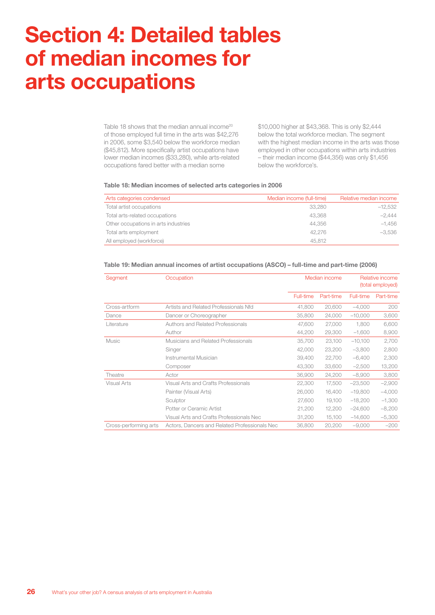## **Section 4: Detailed tables of median incomes for arts occupations**

Table 18 shows that the median annual income<sup>20</sup> of those employed full time in the arts was \$42,276 in 2006, some \$3,540 below the workforce median (\$45,812). More specifically artist occupations have lower median incomes (\$33,280), while arts-related occupations fared better with a median some

\$10,000 higher at \$43,368. This is only \$2,444 below the total workforce median. The segment with the highest median income in the arts was those employed in other occupations within arts industries – their median income (\$44,356) was only \$1,456 below the workforce's.

#### **Table 18: Median incomes of selected arts categories in 2006**

| Arts categories condensed            | Median income (full-time) | Relative median income |
|--------------------------------------|---------------------------|------------------------|
| Total artist occupations             | 33.280                    | $-12,532$              |
| Total arts-related occupations       | 43.368                    | $-2.444$               |
| Other occupations in arts industries | 44.356                    | $-1.456$               |
| Total arts employment                | 42.276                    | $-3.536$               |
| All employed (workforce)             | 45.812                    |                        |

| Segment               | Occupation                                    | Median income |           | Relative income<br>(total employed) |           |
|-----------------------|-----------------------------------------------|---------------|-----------|-------------------------------------|-----------|
|                       |                                               | Full-time     | Part-time | Full-time                           | Part-time |
| Cross-artform         | Artists and Related Professionals Nfd         | 41,800        | 20,600    | $-4,000$                            | 200       |
| Dance                 | Dancer or Choreographer                       | 35,800        | 24,000    | $-10,000$                           | 3,600     |
| Literature            | Authors and Related Professionals             | 47.600        | 27,000    | 1.800                               | 6,600     |
|                       | Author                                        | 44,200        | 29,300    | $-1,600$                            | 8,900     |
| Music                 | Musicians and Related Professionals           | 35,700        | 23,100    | $-10,100$                           | 2,700     |
|                       | Singer                                        | 42,000        | 23,200    | $-3,800$                            | 2,800     |
|                       | Instrumental Musician                         | 39,400        | 22,700    | $-6,400$                            | 2,300     |
|                       | Composer                                      | 43,300        | 33,600    | $-2,500$                            | 13,200    |
| Theatre               | Actor                                         | 36,900        | 24,200    | $-8,900$                            | 3,800     |
| <b>Visual Arts</b>    | Visual Arts and Crafts Professionals          | 22,300        | 17,500    | $-23,500$                           | $-2,900$  |
|                       | Painter (Visual Arts)                         | 26,000        | 16,400    | $-19,800$                           | $-4,000$  |
|                       | Sculptor                                      | 27,600        | 19,100    | $-18,200$                           | $-1,300$  |
|                       | Potter or Ceramic Artist                      | 21,200        | 12,200    | $-24,600$                           | $-8,200$  |
|                       | Visual Arts and Crafts Professionals Nec      | 31,200        | 15,100    | $-14,600$                           | $-5,300$  |
| Cross-performing arts | Actors, Dancers and Related Professionals Nec | 36,800        | 20,200    | $-9,000$                            | $-200$    |

#### **Table 19: Median annual incomes of artist occupations (ASCO) – full-time and part-time (2006)**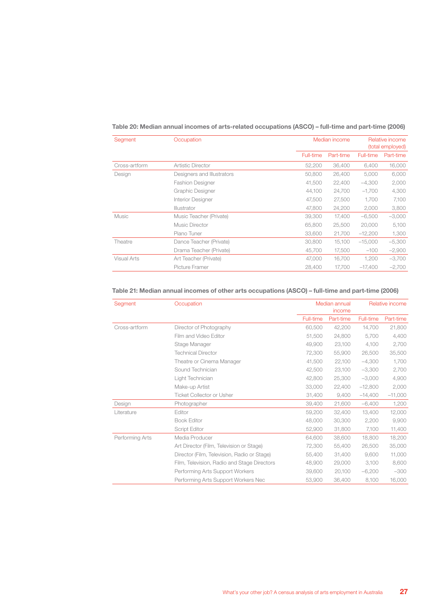#### **Table 20: Median annual incomes of arts-related occupations (ASCO) – full-time and part-time (2006)**

| Segment            | Occupation                 |           | Median income |           | Relative income<br>(total employed) |  |  |
|--------------------|----------------------------|-----------|---------------|-----------|-------------------------------------|--|--|
|                    |                            | Full-time | Part-time     | Full-time | Part-time                           |  |  |
| Cross-artform      | <b>Artistic Director</b>   | 52,200    | 36,400        | 6,400     | 16,000                              |  |  |
| Design             | Designers and Illustrators | 50,800    | 26,400        | 5.000     | 6,000                               |  |  |
|                    | <b>Fashion Designer</b>    | 41,500    | 22,400        | $-4,300$  | 2,000                               |  |  |
|                    | Graphic Designer           | 44,100    | 24,700        | $-1,700$  | 4,300                               |  |  |
|                    | Interior Designer          | 47,500    | 27,500        | 1,700     | 7,100                               |  |  |
|                    | Illustrator                | 47.800    | 24,200        | 2,000     | 3,800                               |  |  |
| Music              | Music Teacher (Private)    | 39,300    | 17.400        | $-6,500$  | $-3,000$                            |  |  |
|                    | Music Director             | 65,800    | 25,500        | 20,000    | 5,100                               |  |  |
|                    | Piano Tuner                | 33,600    | 21,700        | $-12,200$ | 1,300                               |  |  |
| Theatre            | Dance Teacher (Private)    | 30,800    | 15,100        | $-15,000$ | $-5,300$                            |  |  |
|                    | Drama Teacher (Private)    | 45,700    | 17,500        | $-100$    | $-2,900$                            |  |  |
| <b>Visual Arts</b> | Art Teacher (Private)      | 47,000    | 16.700        | 1,200     | $-3,700$                            |  |  |
|                    | Picture Framer             | 28,400    | 17.700        | $-17,400$ | $-2,700$                            |  |  |

#### **Table 21: Median annual incomes of other arts occupations (ASCO) – full-time and part-time (2006)**

| Segment         | Occupation                                  | Median annual<br>income |           | Relative income |           |
|-----------------|---------------------------------------------|-------------------------|-----------|-----------------|-----------|
|                 |                                             | Full-time               | Part-time | Full-time       | Part-time |
| Cross-artform   | Director of Photography                     | 60,500                  | 42,200    | 14,700          | 21,800    |
|                 | Film and Video Editor                       | 51,500                  | 24,800    | 5,700           | 4,400     |
|                 | Stage Manager                               | 49,900                  | 23,100    | 4,100           | 2,700     |
|                 | <b>Technical Director</b>                   | 72,300                  | 55,900    | 26,500          | 35,500    |
|                 | Theatre or Cinema Manager                   | 41,500                  | 22,100    | $-4,300$        | 1,700     |
|                 | Sound Technician                            | 42,500                  | 23.100    | $-3,300$        | 2,700     |
|                 | Light Technician                            | 42,800                  | 25,300    | $-3,000$        | 4,900     |
|                 | Make-up Artist                              | 33,000                  | 22,400    | $-12,800$       | 2,000     |
|                 | <b>Ticket Collector or Usher</b>            | 31,400                  | 9,400     | $-14,400$       | $-11,000$ |
| Design          | Photographer                                | 39,400                  | 21.600    | $-6,400$        | 1,200     |
| Literature      | Editor                                      | 59,200                  | 32,400    | 13,400          | 12,000    |
|                 | <b>Book Editor</b>                          | 48,000                  | 30,300    | 2,200           | 9,900     |
|                 | Script Editor                               | 52,900                  | 31,800    | 7.100           | 11,400    |
| Performing Arts | Media Producer                              | 64,600                  | 38,600    | 18,800          | 18,200    |
|                 | Art Director (Film, Television or Stage)    | 72,300                  | 55,400    | 26,500          | 35,000    |
|                 | Director (Film, Television, Radio or Stage) | 55,400                  | 31.400    | 9.600           | 11,000    |
|                 | Film, Television, Radio and Stage Directors | 48,900                  | 29,000    | 3.100           | 8,600     |
|                 | Performing Arts Support Workers             | 39,600                  | 20,100    | $-6,200$        | $-300$    |
|                 | Performing Arts Support Workers Nec         | 53,900                  | 36.400    | 8,100           | 16,000    |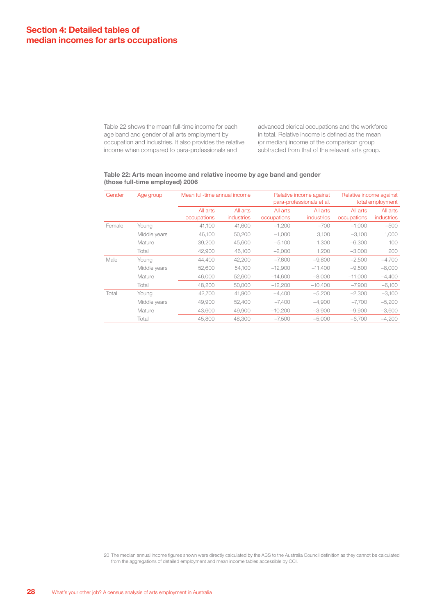Table 22 shows the mean full-time income for each age band and gender of all arts employment by occupation and industries. It also provides the relative income when compared to para-professionals and

advanced clerical occupations and the workforce in total. Relative income is defined as the mean (or median) income of the comparison group subtracted from that of the relevant arts group.

#### **Table 22: Arts mean income and relative income by age band and gender (those full-time employed) 2006**

| Gender | Age group    | Mean full-time annual income<br>Relative income against<br>para-professionals et al. |                               |                         | Relative income against<br>total employment |                         |                        |
|--------|--------------|--------------------------------------------------------------------------------------|-------------------------------|-------------------------|---------------------------------------------|-------------------------|------------------------|
|        |              | All arts<br>occupations                                                              | All arts<br><i>industries</i> | All arts<br>occupations | All arts<br><i>industries</i>               | All arts<br>occupations | All arts<br>industries |
| Female | Young        | 41,100                                                                               | 41,600                        | $-1.200$                | $-700$                                      | $-1,000$                | $-500$                 |
|        | Middle years | 46.100                                                                               | 50,200                        | $-1,000$                | 3.100                                       | $-3,100$                | 1,000                  |
|        | Mature       | 39,200                                                                               | 45,600                        | $-5.100$                | 1.300                                       | $-6.300$                | 100                    |
|        | Total        | 42.900                                                                               | 46,100                        | $-2,000$                | 1.200                                       | $-3,000$                | 200                    |
| Male   | Young        | 44,400                                                                               | 42,200                        | $-7.600$                | $-9,800$                                    | $-2,500$                | $-4,700$               |
|        | Middle years | 52,600                                                                               | 54,100                        | $-12.900$               | $-11.400$                                   | $-9.500$                | $-8.000$               |
|        | Mature       | 46,000                                                                               | 52,600                        | $-14,600$               | $-8.000$                                    | $-11,000$               | $-4,400$               |
|        | Total        | 48,200                                                                               | 50,000                        | $-12,200$               | $-10,400$                                   | $-7,900$                | $-6,100$               |
| Total  | Young        | 42.700                                                                               | 41,900                        | $-4.400$                | $-5,200$                                    | $-2,300$                | $-3,100$               |
|        | Middle years | 49,900                                                                               | 52.400                        | $-7.400$                | $-4.900$                                    | $-7.700$                | $-5,200$               |
|        | Mature       | 43,600                                                                               | 49,900                        | $-10.200$               | $-3,900$                                    | $-9,900$                | $-3,600$               |
|        | Total        | 45,800                                                                               | 48.300                        | $-7.500$                | $-5.000$                                    | $-6.700$                | $-4.200$               |

20 The median annual income figures shown were directly calculated by the ABS to the Australia Council definition as they cannot be calculated from the aggregations of detailed employment and mean income tables accessible by CCI.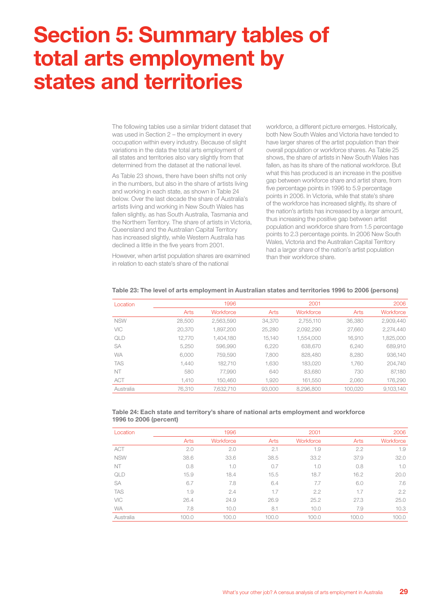## **Section 5: Summary tables of total arts employment by states and territories**

The following tables use a similar trident dataset that was used in Section 2 – the employment in every occupation within every industry. Because of slight variations in the data the total arts employment of all states and territories also vary slightly from that determined from the dataset at the national level.

As Table 23 shows, there have been shifts not only in the numbers, but also in the share of artists living and working in each state, as shown in Table 24 below. Over the last decade the share of Australia's artists living and working in New South Wales has fallen slightly, as has South Australia, Tasmania and the Northern Territory. The share of artists in Victoria, Queensland and the Australian Capital Territory has increased slightly, while Western Australia has declined a little in the five years from 2001.

However, when artist population shares are examined in relation to each state's share of the national

workforce, a different picture emerges. Historically, both New South Wales and Victoria have tended to have larger shares of the artist population than their overall population or workforce shares. As Table 25 shows, the share of artists in New South Wales has fallen, as has its share of the national workforce. But what this has produced is an increase in the positive gap between workforce share and artist share, from five percentage points in 1996 to 5.9 percentage points in 2006. In Victoria, while that state's share of the workforce has increased slightly, its share of the nation's artists has increased by a larger amount, thus increasing the positive gap between artist population and workforce share from 1.5 percentage points to 2.3 percentage points. In 2006 New South Wales, Victoria and the Australian Capital Territory had a larger share of the nation's artist population than their workforce share.

| Location   |        | 1996      |        | 2001      |         | 2006      |
|------------|--------|-----------|--------|-----------|---------|-----------|
|            | Arts   | Workforce | Arts   | Workforce | Arts    | Workforce |
| <b>NSW</b> | 28,500 | 2,563,590 | 34.370 | 2.755.110 | 36,380  | 2.909.440 |
| VIC        | 20,370 | 1.897.200 | 25.280 | 2.092.290 | 27,660  | 2.274.440 |
| QLD        | 12.770 | 1.404.180 | 15.140 | 1,554,000 | 16.910  | 1.825.000 |
| <b>SA</b>  | 5.250  | 596.990   | 6.220  | 638,670   | 6.240   | 689,910   |
| <b>WA</b>  | 6.000  | 759.590   | 7.800  | 828,480   | 8.280   | 936.140   |
| <b>TAS</b> | 1.440  | 182.710   | 1.630  | 183.020   | 1.760   | 204.740   |
| NT         | 580    | 77.990    | 640    | 83.680    | 730     | 87,180    |
| <b>ACT</b> | 1.410  | 150.460   | 1.920  | 161.550   | 2.060   | 176,290   |
| Australia  | 76.310 | 7.632.710 | 93,000 | 8,296,800 | 100.020 | 9,103,140 |

#### **Table 23: The level of arts employment in Australian states and territories 1996 to 2006 (persons)**

#### **Table 24: Each state and territory's share of national arts employment and workforce 1996 to 2006 (percent)**

| Location   |       | 1996      |       | 2001      |       | 2006      |
|------------|-------|-----------|-------|-----------|-------|-----------|
|            | Arts  | Workforce | Arts  | Workforce | Arts  | Workforce |
| <b>ACT</b> | 2.0   | 2.0       | 2.1   | 1.9       | 2.2   | 1.9       |
| <b>NSW</b> | 38.6  | 33.6      | 38.5  | 33.2      | 37.9  | 32.0      |
| NT         | 0.8   | 1.0       | 0.7   | 1.0       | 0.8   | 1.0       |
| QLD        | 15.9  | 18.4      | 15.5  | 18.7      | 16.2  | 20.0      |
| SA         | 6.7   | 7.8       | 6.4   | 7.7       | 6.0   | 7.6       |
| <b>TAS</b> | 1.9   | 2.4       | 1.7   | 2.2       | 1.7   | 2.2       |
| VIC        | 26.4  | 24.9      | 26.9  | 25.2      | 27.3  | 25.0      |
| <b>WA</b>  | 7.8   | 10.0      | 8.1   | 10.0      | 7.9   | 10.3      |
| Australia  | 100.0 | 100.0     | 100.0 | 100.0     | 100.0 | 100.0     |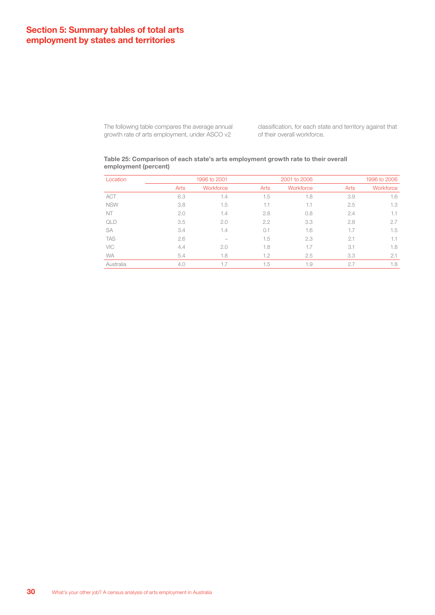#### **Section 5: Summary tables of total arts employment by states and territories**

The following table compares the average annual growth rate of arts employment, under ASCO v2

classification, for each state and territory against that of their overall workforce.

#### **Table 25: Comparison of each state's arts employment growth rate to their overall employment (percent)**

| Location   |      | 1996 to 2001 |      | 2001 to 2006 |      | 1996 to 2006 |
|------------|------|--------------|------|--------------|------|--------------|
|            | Arts | Workforce    | Arts | Workforce    | Arts | Workforce    |
| <b>ACT</b> | 6.3  | 1.4          | 1.5  | 1.8          | 3.9  | 1.6          |
| <b>NSW</b> | 3.8  | 1.5          | 1.1  | 1.1          | 2.5  | 1.3          |
| NT         | 2.0  | 1.4          | 2.8  | 0.8          | 2.4  | 1.1          |
| QLD        | 3.5  | 2.0          | 2.2  | 3.3          | 2.8  | 2.7          |
| <b>SA</b>  | 3.4  | 1.4          | 0.1  | 1.6          | 1.7  | 1.5          |
| <b>TAS</b> | 2.6  |              | 1.5  | 2.3          | 2.1  | 1.1          |
| VIC        | 4.4  | 2.0          | 1.8  | 1.7          | 3.1  | 1.8          |
| <b>WA</b>  | 5.4  | 1.8          | 1.2  | 2.5          | 3.3  | 2.1          |
| Australia  | 4.0  | 1.7          | 1.5  | 1.9          | 2.7  | 1.8          |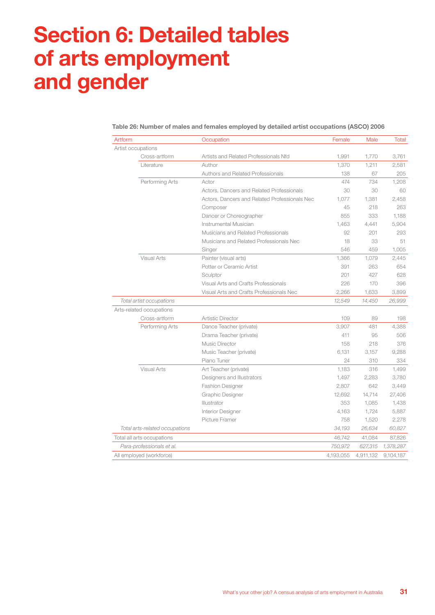## **Section 6: Detailed tables of arts employment and gender**

| Artform                        | Occupation                                    | Female    | Male      | <b>Total</b> |
|--------------------------------|-----------------------------------------------|-----------|-----------|--------------|
| Artist occupations             |                                               |           |           |              |
| Cross-artform                  | Artists and Related Professionals Nfd         | 1,991     | 1,770     | 3,761        |
| Literature                     | Author                                        | 1,370     | 1,211     | 2,581        |
|                                | Authors and Related Professionals             | 138       | 67        | 205          |
| Performing Arts                | Actor                                         | 474       | 734       | 1,208        |
|                                | Actors, Dancers and Related Professionals     | 30        | 30        | 60           |
|                                | Actors, Dancers and Related Professionals Nec | 1.077     | 1,381     | 2,458        |
|                                | Composer                                      | 45        | 218       | 263          |
|                                | Dancer or Choreographer                       | 855       | 333       | 1,188        |
|                                | Instrumental Musician                         | 1,463     | 4,441     | 5,904        |
|                                | Musicians and Related Professionals           | 92        | 201       | 293          |
|                                | Musicians and Related Professionals Nec       | 18        | 33        | 51           |
|                                | Singer                                        | 546       | 459       | 1,005        |
| <b>Visual Arts</b>             | Painter (visual arts)                         | 1,366     | 1,079     | 2,445        |
|                                | Potter or Ceramic Artist                      | 391       | 263       | 654          |
|                                | Sculptor                                      | 201       | 427       | 628          |
|                                | Visual Arts and Crafts Professionals          | 226       | 170       | 396          |
|                                | Visual Arts and Crafts Professionals Nec      | 2,266     | 1,633     | 3,899        |
| Total artist occupations       |                                               | 12,549    | 14,450    | 26,999       |
| Arts-related occupations       |                                               |           |           |              |
| Cross-artform                  | <b>Artistic Director</b>                      | 109       | 89        | 198          |
| Performing Arts                | Dance Teacher (private)                       | 3,907     | 481       | 4,388        |
|                                | Drama Teacher (private)                       | 411       | 95        | 506          |
|                                | Music Director                                | 158       | 218       | 376          |
|                                | Music Teacher (private)                       | 6,131     | 3,157     | 9,288        |
|                                | Piano Tuner                                   | 24        | 310       | 334          |
| <b>Visual Arts</b>             | Art Teacher (private)                         | 1,183     | 316       | 1,499        |
|                                | Designers and Illustrators                    | 1,497     | 2,283     | 3,780        |
|                                | <b>Fashion Designer</b>                       | 2,807     | 642       | 3,449        |
|                                | Graphic Designer                              | 12,692    | 14,714    | 27,406       |
|                                | Illustrator                                   | 353       | 1,085     | 1,438        |
|                                | Interior Designer                             | 4,163     | 1,724     | 5,887        |
|                                | Picture Framer                                | 758       | 1,520     | 2,278        |
| Total arts-related occupations |                                               | 34,193    | 26,634    | 60,827       |
| Total all arts occupations     |                                               | 46,742    | 41,084    | 87,826       |
| Para-professionals et al.      |                                               | 750,972   | 627,315   | 1,378,287    |
| All employed (workforce)       |                                               | 4,193,055 | 4,911,132 | 9,104,187    |

**Table 26: Number of males and females employed by detailed artist occupations (ASCO) 2006**